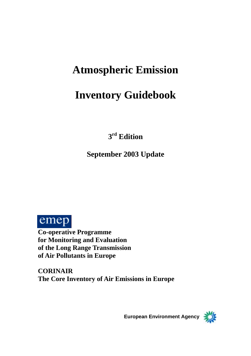# **Atmospheric Emission**

# **Inventory Guidebook**

**3rd Edition** 

## **September 2003 Update**



**Co-operative Programme for Monitoring and Evaluation of the Long Range Transmission of Air Pollutants in Europe** 

**CORINAIR The Core Inventory of Air Emissions in Europe** 

**European Environment Agency** 

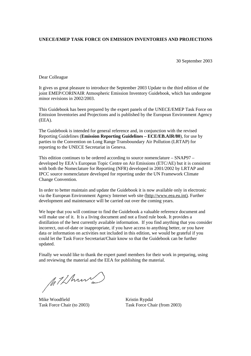#### **UNECE/EMEP TASK FORCE ON EMISSION INVENTORIES AND PROJECTIONS**

30 September 2003

Dear Colleague

It gives us great pleasure to introduce the September 2003 Update to the third edition of the joint EMEP/CORINAIR Atmospheric Emission Inventory Guidebook, which has undergone minor revisions in 2002/2003.

This Guidebook has been prepared by the expert panels of the UNECE/EMEP Task Force on Emission Inventories and Projections and is published by the European Environment Agency (EEA).

The Guidebook is intended for general reference and, in conjunction with the revised Reporting Guidelines (**Emission Reporting Guidelines – ECE/EB.AIR/80**), for use by parties to the Convention on Long Range Transboundary Air Pollution (LRTAP) for reporting to the UNECE Secretariat in Geneva.

This edition continues to be ordered according to source nomenclature – SNAP97 – developed by EEA's European Topic Centre on Air Emissions (ETC/AE) but it is consistent with both the Nomeclature for Reporting (NFR) developed in 2001/2002 by LRTAP and IPCC source nomenclature developed for reporting under the UN Framework Climate Change Convention.

In order to better maintain and update the Guidebook it is now available only in electronic via the European Environment Agency Internet web site (http://www.eea.eu.int). Further development and maintenance will be carried out over the coming years.

We hope that you will continue to find the Guidebook a valuable reference document and will make use of it. It is a living document and not a fixed rule book. It provides a distillation of the best currently available information. If you find anything that you consider incorrect, out-of-date or inappropriate, if you have access to anything better, or you have data or information on activities not included in this edition, we would be grateful if you could let the Task Force Secretariat/Chair know so that the Guidebook can be further updated.

Finally we would like to thank the expert panel members for their work in preparing, using and reviewing the material and the EEA for publishing the material.

M7Lhun

Mike Woodfield Kristin Rypdal

Task Force Chair (to 2003) Task Force Chair (from 2003)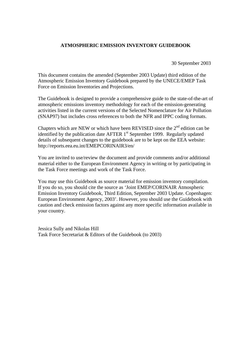#### **ATMOSPHERIC EMISSION INVENTORY GUIDEBOOK**

30 September 2003

This document contains the amended (September 2003 Update) third edition of the Atmospheric Emission Inventory Guidebook prepared by the UNECE/EMEP Task Force on Emission Inventories and Projections.

The Guidebook is designed to provide a comprehensive guide to the state-of-the-art of atmospheric emissions inventory methodology for each of the emission-generating activities listed in the current versions of the Selected Nomenclature for Air Pollution (SNAP97) but includes cross references to both the NFR and IPPC coding formats.

Chapters which are NEW or which have been REVISED since the  $2<sup>nd</sup>$  edition can be identified by the publication date AFTER  $1<sup>st</sup>$  September 1999. Regularly updated details of subsequent changes to the guidebook are to be kept on the EEA website: http://reports.eea.eu.int/EMEPCORINAIR3/en/

You are invited to use/review the document and provide comments and/or additional material either to the European Environment Agency in writing or by participating in the Task Force meetings and work of the Task Force.

You may use this Guidebook as source material for emission inventory compilation. If you do so, you should cite the source as 'Joint EMEP/CORINAIR Atmospheric Emission Inventory Guidebook, Third Edition, September 2003 Update. Copenhagen: European Environment Agency, 2003'. However, you should use the Guidebook with caution and check emission factors against any more specific information available in your country.

Jessica Sully and Nikolas Hill Task Force Secretariat & Editors of the Guidebook (to 2003)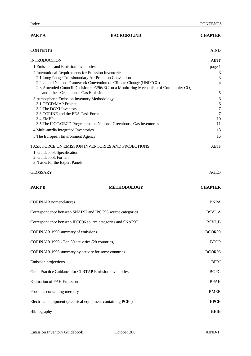| <b>CONTENTS</b>                                                                                                                                           | <b>AIND</b>                |
|-----------------------------------------------------------------------------------------------------------------------------------------------------------|----------------------------|
| <b>INTRODUCTION</b>                                                                                                                                       | <b>AINT</b>                |
| 1 Emissions and Emission Inventories                                                                                                                      | page 1                     |
| 2 International Requirements for Emission Inventories                                                                                                     | 3                          |
| 2.1 Long Range Transboundary Air Pollution Convention                                                                                                     | 3<br>$\overline{4}$        |
| 2.2 United Nations Framework Convention on Climate Change (UNFCCC)<br>2.3 Amended Council Decision 99/296/EC on a Monitoring Mechanism of Community $CO2$ |                            |
| and other Greenhouse Gas Emissions                                                                                                                        | 5                          |
| 3 Atmospheric Emission Inventory Methodology                                                                                                              | 6                          |
| 3.1 OECD/MAP Project                                                                                                                                      | 6                          |
| 3.2 The DGXI Inventory<br>3.3 CORINE and the EEA Task Force                                                                                               | $\boldsymbol{7}$<br>$\tau$ |
| 3.4 EMEP                                                                                                                                                  | 10                         |
| 3.5 The IPCC/OECD Programme on National Greenhouse Gas Inventories                                                                                        | 11                         |
| 4 Multi-media Integrated Inventories                                                                                                                      | 13                         |
| 5 The European Environment Agency                                                                                                                         | 16                         |
| TASK FORCE ON EMISSION INVENTORIES AND PROJECTIONS                                                                                                        | <b>AETF</b>                |
| 1 Guidebook Specification                                                                                                                                 |                            |
| 2 Guidebook Format                                                                                                                                        |                            |
| 3 Tasks for the Expert Panels                                                                                                                             |                            |
| <b>GLOSSARY</b>                                                                                                                                           | <b>AGLO</b>                |
| <b>PART B</b><br><b>METHODOLOGY</b>                                                                                                                       | <b>CHAPTER</b>             |
| <b>CORINAIR</b> nomenclatures                                                                                                                             | <b>BNPA</b>                |
| Correspondence between SNAP97 and IPCC96 source categories                                                                                                | <b>BSVI_A</b>              |
| Correspondence between IPCC96 source categories and SNAP97                                                                                                | <b>BSVI B</b>              |
| CORINAIR 1990 summary of emissions                                                                                                                        | BCOR90                     |
| CORINAIR 1990 - Top 30 activities (28 countries)                                                                                                          | <b>BTOP</b>                |
| CORINAIR 1996 summary by activity for some countries                                                                                                      | BCOR96                     |
| Emission projections                                                                                                                                      | <b>BPRJ</b>                |
| Good Practice Guidance for CLRTAP Emission Inventories                                                                                                    | <b>BGPG</b>                |
| <b>Estimation of PAH Emissions</b>                                                                                                                        | <b>BPAH</b>                |
| Products containing mercury                                                                                                                               | <b>BMER</b>                |
| Electrical equipment (electrical equipment containing PCBs)                                                                                               | <b>BPCB</b>                |
| Bibliography                                                                                                                                              | <b>BBIB</b>                |

**PART A BACKGROUND CHAPTER**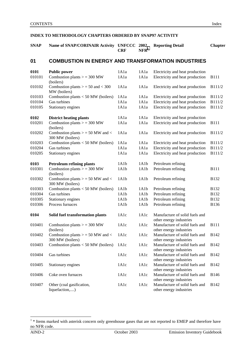#### **INDEX TO METHODOLOGY CHAPTERS ORDERED BY SNAP97 ACTIVITY**

| <b>SNAP</b> | Nan |
|-------------|-----|
|             |     |

**SNAP Name of SNAP/CORINAIR Activity UNFCCC 2002 CRF NFR<sup>1</sup>**

**Reporting Detail Chapter**

#### **01 COMBUSTION IN ENERGY AND TRANSFORMATION INDUSTRIES**

| 0101   | <b>Public power</b>                                     | 1A1a | 1A1a | Electricity and heat production                           |             |
|--------|---------------------------------------------------------|------|------|-----------------------------------------------------------|-------------|
| 010101 | Combustion plants $>$ = 300 MW<br>(boilers)             | 1A1a | 1A1a | Electricity and heat production                           | <b>B111</b> |
| 010102 | Combustion plants $>$ = 50 and < 300<br>MW (boilers)    | 1A1a | 1A1a | Electricity and heat production                           | B111/2      |
| 010103 | Combustion plants $<$ 50 MW (boilers)                   | 1A1a | 1A1a | Electricity and heat production                           | B111/2      |
| 010104 | Gas turbines                                            | 1A1a | 1A1a | Electricity and heat production                           | B111/2      |
| 010105 | Stationary engines                                      | 1A1a | 1A1a | Electricity and heat production                           | B111/2      |
| 0102   | <b>District heating plants</b>                          | 1A1a | 1A1a | Electricity and heat production                           |             |
| 010201 | Combustion plants $>$ = 300 MW<br>(boilers)             | 1A1a | 1A1a | Electricity and heat production                           | <b>B111</b> |
| 010202 | Combustion plants $>$ = 50 MW and <<br>300 MW (boilers) | 1A1a | 1A1a | Electricity and heat production                           | B111/2      |
| 010203 | Combustion plants $<$ 50 MW (boilers)                   | 1A1a | 1A1a | Electricity and heat production                           | B111/2      |
| 010204 | Gas turbines                                            | 1A1a | 1A1a | Electricity and heat production                           | B111/2      |
| 010205 | Stationary engines                                      | 1A1a | 1A1a | Electricity and heat production                           | B111/2      |
| 0103   | <b>Petroleum refining plants</b>                        | 1A1b | 1A1b | Petroleum refining                                        |             |
| 010301 | Combustion plants $>$ = 300 MW<br>(boilers)             | 1A1b | 1A1b | Petroleum refining                                        | <b>B111</b> |
| 010302 | Combustion plants $>$ = 50 MW and <<br>300 MW (boilers) | 1A1b | 1A1b | Petroleum refining                                        | <b>B132</b> |
| 010303 | Combustion plants < 50 MW (boilers)                     | 1A1b | 1A1b | Petroleum refining                                        | <b>B132</b> |
| 010304 | Gas turbines                                            | 1A1b | 1A1b | Petroleum refining                                        | <b>B132</b> |
| 010305 | Stationary engines                                      | 1A1b | 1A1b | Petroleum refining                                        | B132        |
| 010306 | Process furnaces                                        | 1A1b | 1A1b | Petroleum refining                                        | <b>B136</b> |
| 0104   | Solid fuel transformation plants                        | 1A1c | 1A1c | Manufacture of solid fuels and<br>other energy industries |             |
| 010401 | Combustion plants $>$ = 300 MW<br>(boilers)             | 1A1c | 1A1c | Manufacture of solid fuels and<br>other energy industries | <b>B111</b> |
| 010402 | Combustion plants $>$ = 50 MW and <<br>300 MW (boilers) | 1A1c | 1A1c | Manufacture of solid fuels and<br>other energy industries | <b>B142</b> |
| 010403 | Combustion plants < 50 MW (boilers)                     | 1A1c | 1A1c | Manufacture of solid fuels and<br>other energy industries | <b>B142</b> |
| 010404 | Gas turbines                                            | 1A1c | 1A1c | Manufacture of solid fuels and<br>other energy industries | <b>B142</b> |
| 010405 | Stationary engines                                      | 1A1c | 1A1c | Manufacture of solid fuels and<br>other energy industries | <b>B142</b> |
| 010406 | Coke oven furnaces                                      | 1A1c | 1A1c | Manufacture of solid fuels and<br>other energy industries | <b>B146</b> |
| 010407 | Other (coal gasification,<br>liquefaction,)             | 1A1c | 1A1c | Manufacture of solid fuels and<br>other energy industries | <b>B142</b> |

<sup>&</sup>lt;sup>1</sup> \* Items marked with asterisk concern only greenhouse gases that are not reported to EMEP and therefore have no NFR code.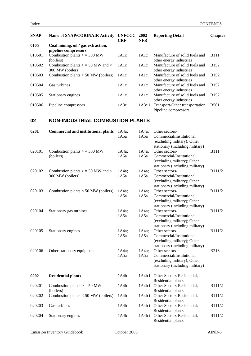| <b>SNAP</b> | Name of SNAP/CORINAIR Activity                             | <b>UNFCCC</b><br><b>CRF</b> | 2002<br>NFR <sup>1</sup> | <b>Reporting Detail</b>                                   | <b>Chapter</b>   |
|-------------|------------------------------------------------------------|-----------------------------|--------------------------|-----------------------------------------------------------|------------------|
| 0105        | Coal mining, oil / gas extraction,<br>pipeline compressors |                             |                          |                                                           |                  |
| 010501      | Combustion plants $>$ = 300 MW<br>(boilers)                | 1A1c                        | 1A1c                     | Manufacture of solid fuels and<br>other energy industries | <b>B111</b>      |
| 010502      | Combustion plants $>$ = 50 MW and $<$<br>300 MW (boilers)  | 1A1c                        | 1A1c                     | Manufacture of solid fuels and<br>other energy industries | <b>B</b> 152     |
| 010503      | Combustion plants $<$ 50 MW (boilers)                      | 1A1c                        | 1A1c                     | Manufacture of solid fuels and<br>other energy industries | <b>B</b> 152     |
| 010504      | Gas turbines                                               | 1A1c                        | 1A1c                     | Manufacture of solid fuels and<br>other energy industries | <b>B</b> 152     |
| 010505      | Stationary engines                                         | 1A1c                        | 1 A 1 c                  | Manufacture of solid fuels and<br>other energy industries | B <sub>152</sub> |
| 010506      | Pipeline compressors                                       | 1A3e                        | 1A3e i                   | Transport-Other transportation,<br>Pipeline compressors   | B <sub>561</sub> |

### **02 NON-INDUSTRIAL COMBUSTION PLANTS**

| 0201   | <b>Commercial and institutional plants</b> | 1A4a; | 1A4a;    | Other sectors-                                   |             |
|--------|--------------------------------------------|-------|----------|--------------------------------------------------|-------------|
|        |                                            | 1A5a  | 1A5a     | Commercial/Institutional                         |             |
|        |                                            |       |          | (excluding military); Other                      |             |
|        |                                            |       |          | stationary (including military)                  |             |
| 020101 | Combustion plants $>$ = 300 MW             | 1A4a; | 1A4a;    | Other sectors-                                   | <b>B111</b> |
|        | (boilers)                                  | 1A5a  | 1A5a     | Commercial/Institutional                         |             |
|        |                                            |       |          | (excluding military); Other                      |             |
|        |                                            |       |          | stationary (including military)                  |             |
| 020102 | Combustion plants $>$ = 50 MW and $<$      | 1A4a; | 1A4a;    | Other sectors-                                   | B111/2      |
|        | 300 MW (boilers)                           | 1A5a  | 1A5a     | Commercial/Institutional                         |             |
|        |                                            |       |          | (excluding military); Other                      |             |
|        |                                            |       |          | stationary (including military)                  |             |
| 020103 | Combustion plants $<$ 50 MW (boilers)      | 1A4a; | 1A4a;    | Other sectors-                                   | B111/2      |
|        |                                            | 1A5a  | 1A5a     | Commercial/Institutional                         |             |
|        |                                            |       |          | (excluding military); Other                      |             |
|        |                                            |       |          | stationary (including military)                  |             |
| 020104 | Stationary gas turbines                    | 1A4a; | 1A4a;    | Other sectors-                                   | B111/2      |
|        |                                            | 1A5a  | 1A5a     | Commercial/Institutional                         |             |
|        |                                            |       |          | (excluding military); Other                      |             |
|        |                                            |       |          | stationary (including military)                  |             |
| 020105 | Stationary engines                         | 1A4a; | 1A4a;    | Other sectors-                                   | B111/2      |
|        |                                            | 1A5a  | 1A5a     | Commercial/Institutional                         |             |
|        |                                            |       |          | (excluding military); Other                      |             |
|        |                                            |       |          | stationary (including military)                  |             |
| 020106 | Other stationary equipment                 | 1A4a; | 1A4a;    | Other sectors-                                   | <b>B216</b> |
|        |                                            | 1A5a  | 1A5a     | Commercial/Institutional                         |             |
|        |                                            |       |          | (excluding military); Other                      |             |
|        |                                            |       |          | stationary (including military)                  |             |
| 0202   |                                            | 1A4b  |          | 1A4b i Other Sectors-Residential,                |             |
|        | <b>Residential plants</b>                  |       |          | Residential plants                               |             |
| 020201 |                                            | 1A4b  | $1A4b$ i | Other Sectors-Residential,                       | B111/2      |
|        | Combustion plants $>$ = 50 MW              |       |          |                                                  |             |
|        | (boilers)                                  |       |          | Residential plants                               |             |
| 020202 | Combustion plants $<$ 50 MW (boilers)      | 1A4b  | $1A4b$ i | Other Sectors-Residential,                       | B111/2      |
| 020203 | Gas turbines                               | 1A4b  | $1A4b$ i | Residential plants                               | B111/2      |
|        |                                            |       |          | Other Sectors-Residential,                       |             |
|        |                                            | 1A4b  |          | Residential plants<br>Other Sectors-Residential, | B111/2      |
| 020204 | Stationary engines                         |       | $1A4b$ i |                                                  |             |
|        |                                            |       |          | Residential plants                               |             |
|        |                                            |       |          |                                                  |             |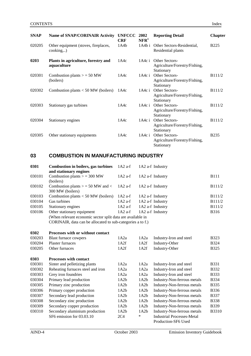| <b>SNAP</b> | Name of SNAP/CORINAIR Activity                        | UNFCCC 2002<br><b>CRF</b> | NFR <sup>1</sup> | <b>Reporting Detail</b>                                              | <b>Chapter</b> |
|-------------|-------------------------------------------------------|---------------------------|------------------|----------------------------------------------------------------------|----------------|
| 020205      | Other equipment (stoves, fireplaces,<br>$\cosh(ng, )$ | 1A4b                      |                  | 1A4b i Other Sectors-Residential,<br>Residential plants              | <b>B225</b>    |
| 0203        | Plants in agriculture, forestry and<br>aquaculture    | 1A4c                      | 1 A 4 c i        | <b>Other Sectors-</b><br>Agriculture/Forestry/Fishing,<br>Stationary |                |
| 020301      | Combustion plants $>$ = 50 MW<br>(boilers)            | 1A4c                      | 1A4c i           | <b>Other Sectors-</b><br>Agriculture/Forestry/Fishing,<br>Stationary | <b>B111/2</b>  |

Agriculture/Forestry/Fishing,

Agriculture/Forestry/Fishing,

Stationary

Stationary

| 020305<br>Other stationary equipments | 1 A 4 c |  | Agriculture/Forestry/Fishing,<br>Stationary<br>1A4c i Other Sectors-<br>Agriculture/Forestry/Fishing,<br>Stationary |
|---------------------------------------|---------|--|---------------------------------------------------------------------------------------------------------------------|
|---------------------------------------|---------|--|---------------------------------------------------------------------------------------------------------------------|

#### **03 COMBUSTION IN MANUFACTURING INDUSTRY**

020302 Combustion plants  $< 50$  MW (boilers) 1A4c 1A4c i Other Sectors-

020303 Stationary gas turbines 1A4c 1A4c i Other Sectors-

020304 Stationary engines 1A4c 1A4c i Other Sectors-

| 0301   | <b>Combustion in boilers, gas turbines</b><br>and stationary engines                                                     | $1A2a-f$ | 1A2 a-f Industry |                |
|--------|--------------------------------------------------------------------------------------------------------------------------|----------|------------------|----------------|
| 030101 | Combustion plants $>$ = 300 MW<br>(boilers)                                                                              | $1A2a-f$ | 1A2 a-f Industry | <b>B111</b>    |
| 030102 | Combustion plants $> = 50$ MW and $<$ 1A2 a-f<br>300 MW (boilers)                                                        |          | 1A2 a-f Industry | <b>B</b> 111/2 |
| 030103 | Combustion plants $<$ 50 MW (boilers)                                                                                    | $1A2a-f$ | 1A2 a-f Industry | <b>B</b> 111/2 |
| 030104 | Gas turbines                                                                                                             | $1A2a-f$ | 1A2 a-f Industry | <b>B111/2</b>  |
| 030105 | Stationary engines                                                                                                       | $1A2a-f$ | 1A2 a-f Industry | <b>B111/2</b>  |
| 030106 | Other stationary equipment                                                                                               | $1A2a-f$ | 1A2 a-f Industry | B316           |
|        | (When relevant economic sector split data are available in<br>CORINAIR, data can be allocated to sub-categories a to f.) |          |                  |                |

#### **0302 Processes with or without contact**

| 030203 | Blast furnace cowpers             | 1A2a            | 1A2a   | Industry-Iron and steel           | <b>B323</b>  |
|--------|-----------------------------------|-----------------|--------|-----------------------------------|--------------|
| 030204 | Plaster furnaces                  | 1A2f            | 1A2f   | Industry-Other                    | <b>B324</b>  |
| 030205 | Other furnaces                    | 1A2f            | 1A2f   | Industry-Other                    | <b>B325</b>  |
| 0303   | <b>Processes with contact</b>     |                 |        |                                   |              |
| 030301 | Sinter and pelletizing plants     | 1A2a            | 1A2a   | Industry-Iron and steel           | <b>B331</b>  |
| 030302 | Reheating furnaces steel and iron | 1A2a            | 1A2a   | Industry-Iron and steel           | <b>B332</b>  |
| 030303 | Grey iron foundries               | 1A2a            | 1A2a   | Industry-Iron and steel           | <b>B</b> 333 |
| 030304 | Primary lead production           | 1A2b            | 1A2b   | Industry-Non-ferrous metals       | <b>B334</b>  |
| 030305 | Primary zinc production           | 1A2b            | 1A2b   | Industry-Non-ferrous metals       | <b>B335</b>  |
| 030306 | Primary copper production         | 1A2b            | 1A2b   | Industry-Non-ferrous metals       | <b>B336</b>  |
| 030307 | Secondary lead production         | 1A2b            | 1A2b   | Industry-Non-ferrous metals       | <b>B337</b>  |
| 030308 | Secondary zinc production         | 1A2b            | 1A2b   | Industry-Non-ferrous metals       | <b>B338</b>  |
| 030309 | Secondary copper production       | 1A2b            | 1A2b   | Industry-Non-ferrous metals       | <b>B339</b>  |
| 030310 | Secondary aluminium production    | 1A2b            | 1A2b   | Industry-Non-ferrous metals       | <b>B3310</b> |
|        | SF6 emission for 03.03.10         | 2C <sub>4</sub> | $\ast$ | <b>Industrial Processes-Metal</b> |              |
|        |                                   |                 |        | Production-SF6 Used               |              |

B111/2

B111/2

B111/2

B235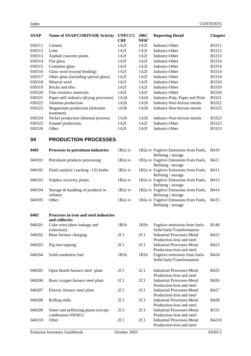| <b>SNAP</b> | <b>Name of SNAP/CORINAIR Activity</b>  | <b>UNFCCC</b> | 2002             | <b>Reporting Detail</b>        | <b>Chapter</b> |  |
|-------------|----------------------------------------|---------------|------------------|--------------------------------|----------------|--|
|             |                                        | <b>CRF</b>    | NFR <sup>1</sup> |                                |                |  |
| 030311      | Cement                                 | 1A2f          | 1A2f             | Industry-Other                 | <b>B</b> 3311  |  |
| 030312      | Lime                                   | 1A2f          | 1A2f             | Industry-Other                 | B3312          |  |
| 030313      | Asphalt concrete plants                | 1A2f          | 1A2f             | Industry-Other                 | <b>B</b> 3313  |  |
| 030314      | Flat glass                             | 1A2f          | 1A2f             | Industry-Other                 | B3314          |  |
| 030315      | Container glass                        | 1A2f          | 1A2f             | Industry-Other                 | B3314          |  |
| 030316      | Glass wool (except binding)            | 1A2f          | 1A2f             | Industry-Other                 | B3314          |  |
| 030317      | Other glass (including special glass)  | 1A2f          | 1A2f             | Industry-Other                 | B3314          |  |
| 030318      | Mineral wool                           | 1A2f          | 1A2f             | Industry-Other                 | <b>B3318</b>   |  |
| 030319      | Bricks and tiles                       | 1A2f          | 1A2f             | Industry-Other                 | B3319          |  |
| 030320      | Fine ceramics materials                | 1A2f          | 1A2f             | Industry-Other                 | <b>B3320</b>   |  |
| 030321      | Paper-mill industry (drying processes) | 1A2d          | 1A2d             | Industry-Pulp, Paper and Print | <b>B</b> 3321  |  |
| 030322      | Alumina production                     | 1A2b          | 1A2b             | Industry-Non-ferrous metals    | <b>B3322</b>   |  |
| 030323      | Magnesium production (dolomite         | 1A2b          | 1A2b             | Industry-Non-ferrous metals    | <b>B3323</b>   |  |
|             | treatment)                             |               |                  |                                |                |  |
| 030324      | Nickel production (thermal process)    | 1A2b          | 1A2b             | Industry-Non-ferrous metals    | <b>B3323</b>   |  |
| 030325      | Enamel production                      | 1A2f          | 1A2f             | Industry-Other                 | <b>B3323</b>   |  |
| 030326      | Other                                  | 1A2f          | 1A2f             | Industry-Other                 | <b>B3323</b>   |  |
|             |                                        |               |                  |                                |                |  |

#### **04 PRODUCTION PROCESSES**

| 0401   | Processes in petroleum industries    | 1B <sub>2</sub> a iv | 1B2a iv Fugitive Emissions from Fuels, |
|--------|--------------------------------------|----------------------|----------------------------------------|
|        |                                      |                      | Refining / storage                     |
| 040101 | Petroleum products processing        | $1B2a$ iv            | 1B2a iv Fugitive Emissions from Fuels, |
|        |                                      |                      | Refining / storage                     |
| 040102 | Fluid catalytic cracking - CO boiler | $1B2a$ iv            | 1B2a iv Fugitive Emissions from Fuels, |
|        |                                      |                      | Refining / storage                     |
| 040103 | Sulphur recovery plants              | $1B2a$ iv            | 1B2a iv Fugitive Emissions from Fuels, |
|        |                                      |                      | Refining / storage                     |
| 040104 | Storage $\&$ handling of products in | $1B2a$ iv            | 1B2a iv Fugitive Emissions from Fuels, |
|        | refinery                             |                      | Refining / storage                     |
| 040105 | Other                                | 1B <sub>2</sub> a iv | 1B2a iv Fugitive Emissions from Fuels, |

#### **0402 Processes in iron and steel industries and collieries**

| 040201 | Coke oven (door leakage and<br>extinction)                   | 1B1b | 1B1b | Fugitive emissions from fuels-<br>Solid fuels/Transformation   |
|--------|--------------------------------------------------------------|------|------|----------------------------------------------------------------|
| 040202 | Blast furnace charging                                       | 2C1  | 2C1  | Industrial Processes-Metal<br>Production-Iron and steel        |
| 040203 | Pig iron tapping                                             | 2C1  | 2C1  | Industrial Processes-Metal<br>Production-Iron and steel        |
| 040204 | Solid smokeless fuel                                         | 1B1b | 1B1b | Fugitive emissions from fuels-<br>Solid fuels/Transformation   |
| 040205 | Open hearth furnace steel plant                              | 2C1  | 2C1  | Industrial Processes-Metal<br>Production-Iron and steel        |
| 040206 | Basic oxygen furnace steel plant                             | 2C1  | 2C1  | <b>Industrial Processes-Metal</b><br>Production-Iron and steel |
| 040207 | Electric furnace steel plant                                 | 2C1  | 2C1  | <b>Industrial Processes-Metal</b><br>Production-Iron and steel |
| 040208 | Rolling mills                                                | 2C1  | 2C1  | Industrial Processes-Metal<br>Production-Iron and steel        |
| 040209 | Sinter and pellitizing plants (except)<br>combustion 030301) | 2C1  | 2C1  | <b>Industrial Processes-Metal</b><br>Production-Iron and steel |
| 040210 | Other                                                        | 2C1  | 2C1  | Industrial Processes-Metal                                     |

| 1B <sub>2a</sub> iv  | 1B2a iv Fugitive Emissions from Fuels, | <b>B410</b>  |
|----------------------|----------------------------------------|--------------|
|                      | Refining / storage                     |              |
| 1B <sub>2</sub> a iv | 1B2a iv Fugitive Emissions from Fuels, | <b>B</b> 411 |
|                      | Refining / storage                     |              |
| 1B <sub>2</sub> a iv | 1B2a iv Fugitive Emissions from Fuels, | B411         |
|                      | Refining / storage                     |              |
| 1B <sub>2</sub> a iv | 1B2a iv Fugitive Emissions from Fuels, | <b>B</b> 413 |
|                      | Refining / storage                     |              |
| 1B <sub>2</sub> a iv | 1B2a iv Fugitive Emissions from Fuels, | B414         |
|                      | Refining / storage                     |              |
| 1B <sub>2</sub> a iv | 1B2a iv Fugitive Emissions from Fuels, | <b>B</b> 415 |
|                      | Refining / storage                     |              |
|                      |                                        |              |

| 1B1b | 1B1b | Fugitive emissions from fuels-    | <b>B146</b>  |
|------|------|-----------------------------------|--------------|
|      |      | Solid fuels/Transformation        |              |
| 2C1  | 2C1  | Industrial Processes-Metal        | <b>B422</b>  |
|      |      | Production-Iron and steel         |              |
| 2C1  | 2C1  | Industrial Processes-Metal        | <b>B423</b>  |
|      |      | Production-Iron and steel         |              |
| 1B1b | 1B1b | Fugitive emissions from fuels-    | <b>B</b> 424 |
|      |      | Solid fuels/Transformation        |              |
| 2C1  | 2C1  | Industrial Processes-Metal        | B425         |
|      |      | Production-Iron and steel         |              |
| 2C1  | 2C1  | <b>Industrial Processes-Metal</b> | <b>B426</b>  |
|      |      | Production-Iron and steel         |              |
| 2C1  | 2C1  | Industrial Processes-Metal        | <b>B</b> 427 |
|      |      | Production-Iron and steel         |              |
|      |      |                                   |              |
| 2C1  | 2C1  | Industrial Processes-Metal        | <b>B428</b>  |
|      |      | Production-Iron and steel         |              |
| 2C1  | 2C1  | Industrial Processes-Metal        | <b>B</b> 331 |
|      |      | Production-Iron and steel         |              |
| 2C1  | 2C1  | Industrial Processes-Metal        | <b>B4210</b> |
|      |      | Production-Iron and steel         |              |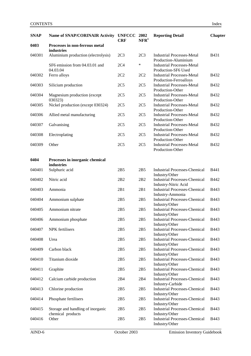| October 2003 |  |
|--------------|--|
|              |  |

| <b>SNAP</b> | Name of SNAP/CORINAIR Activity UNFCCC 2002             | <b>CRF</b>      | NFR <sup>1</sup> | <b>Reporting Detail</b>                                      | Chapter     |
|-------------|--------------------------------------------------------|-----------------|------------------|--------------------------------------------------------------|-------------|
| 0403        | Processes in non-ferrous metal<br>industries           |                 |                  |                                                              |             |
| 040301      | Aluminium production (electrolysis)                    | 2C <sub>3</sub> | 2C <sub>3</sub>  | <b>Industrial Processes-Metal</b><br>Production-Aluminium    | <b>B431</b> |
|             | SF6 emission from 04.03.01 and<br>04.03.04             | 2C <sub>4</sub> | $\ast$           | <b>Industrial Processes-Metal</b><br>Production-SF6 Used     |             |
| 040302      | Ferro alloys                                           | 2C2             | 2C2              | <b>Industrial Processes-Metal</b><br>Production-Ferroalloys  | <b>B432</b> |
| 040303      | Silicium production                                    | 2C <sub>5</sub> | 2C <sub>5</sub>  | <b>Industrial Processes-Metal</b><br>Production-Other        | B432        |
| 040304      | Magnesium production (except<br>030323)                | 2C <sub>5</sub> | 2C <sub>5</sub>  | <b>Industrial Processes-Metal</b><br>Production-Other        | <b>B432</b> |
| 040305      | Nickel production (except 030324)                      | 2C <sub>5</sub> | 2C <sub>5</sub>  | <b>Industrial Processes-Metal</b><br>Production-Other        | <b>B432</b> |
| 040306      | Allied metal manufacturing                             | 2C <sub>5</sub> | 2C <sub>5</sub>  | <b>Industrial Processes-Metal</b><br>Production-Other        | <b>B432</b> |
| 040307      | Galvanising                                            | 2C <sub>5</sub> | 2C <sub>5</sub>  | <b>Industrial Processes-Metal</b><br>Production-Other        | B432        |
| 040308      | Electroplating                                         | 2C <sub>5</sub> | 2C <sub>5</sub>  | <b>Industrial Processes-Metal</b><br>Production-Other        | <b>B432</b> |
| 040309      | Other                                                  | 2C <sub>5</sub> | 2C <sub>5</sub>  | <b>Industrial Processes-Metal</b><br>Production-Other        | B432        |
| 0404        | Processes in inorganic chemical<br>industries          |                 |                  |                                                              |             |
| 040401      | Sulphuric acid                                         | 2B5             | 2B5              | <b>Industrial Processes-Chemical</b><br>Industry/Other       | <b>B441</b> |
| 040402      | Nitric acid                                            | 2B2             | 2B2              | <b>Industrial Processes-Chemical</b><br>Industry-Nitric Acid | <b>B442</b> |
| 040403      | Ammonia                                                | 2B1             | 2B1              | <b>Industrial Processes-Chemical</b><br>Industry-Ammonia     | <b>B443</b> |
| 040404      | Ammonium sulphate                                      | 2B5             | 2B5              | <b>Industrial Processes-Chemical</b><br>Industry/Other       | <b>B443</b> |
| 040405      | Ammonium nitrate                                       | 2B5             | 2B5              | <b>Industrial Processes-Chemical</b><br>Industry/Other       | <b>B443</b> |
| 040406      | Ammonium phosphate                                     | 2B5             | 2B5              | <b>Industrial Processes-Chemical</b><br>Industry/Other       | <b>B443</b> |
| 040407      | NPK fertilisers                                        | 2B5             | 2B5              | <b>Industrial Processes-Chemical</b><br>Industry/Other       | B443        |
| 040408      | Urea                                                   | 2B5             | 2B5              | <b>Industrial Processes-Chemical</b><br>Industry/Other       | <b>B443</b> |
| 040409      | Carbon black                                           | 2B5             | 2B5              | <b>Industrial Processes-Chemical</b><br>Industry/Other       | <b>B443</b> |
| 040410      | Titanium dioxide                                       | 2B5             | 2B5              | <b>Industrial Processes-Chemical</b><br>Industry/Other       | B443        |
| 040411      | Graphite                                               | 2B5             | 2B5              | <b>Industrial Processes-Chemical</b><br>Industry/Other       | <b>B443</b> |
| 040412      | Calcium carbide production                             | 2B4             | 2B4              | <b>Industrial Processes-Chemical</b><br>Industry-Carbide     | <b>B443</b> |
| 040413      | Chlorine production                                    | 2B5             | 2B5              | <b>Industrial Processes-Chemical</b><br>Industry/Other       | B443        |
| 040414      | Phosphate fertilisers                                  | 2B5             | 2B5              | <b>Industrial Processes-Chemical</b><br>Industry/Other       | B443        |
| 040415      | Storage and handling of inorganic<br>chemical products | 2B5             | 2B5              | <b>Industrial Processes-Chemical</b><br>Industry/Other       | B443        |
| 040416      | Other                                                  | 2B5             | 2B5              | <b>Industrial Processes-Chemical</b><br>Industry/Other       | B443        |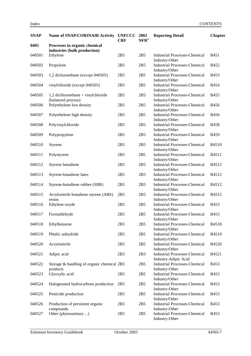| <b>SNAP</b> | Name of SNAP/CORINAIR Activity UNFCCC 2002                    | <b>CRF</b>      | NFR <sup>1</sup> | <b>Reporting Detail</b>                                      | <b>Chapter</b> |
|-------------|---------------------------------------------------------------|-----------------|------------------|--------------------------------------------------------------|----------------|
| 0405        | Processes in organic chemical<br>industries (bulk production) |                 |                  |                                                              |                |
| 040501      | Ethylene                                                      | 2B5             | 2B5              | <b>Industrial Processes-Chemical</b><br>Industry-Other       | <b>B451</b>    |
| 040502      | Propylene                                                     | 2B5             | 2B5              | <b>Industrial Processes-Chemical</b><br>Industry/Other       | <b>B452</b>    |
| 040503      | 1,2 dichoroethane (except 040505)                             | 2B5             | 2B5              | <b>Industrial Processes-Chemical</b><br>Industry/Other       | B453           |
| 040504      | vinylchloride (except 040505)                                 | 2B5             | 2B5              | <b>Industrial Processes-Chemical</b><br>Industry/Other       | <b>B454</b>    |
| 040505      | 1,2 dichloroethane + vinylchloride<br>(balanced process)      | 2B5             | 2B5              | <b>Industrial Processes-Chemical</b><br>Industry/Other       | <b>B455</b>    |
| 040506      | Polyethylene low density                                      | 2B5             | 2B5              | <b>Industrial Processes-Chemical</b><br>Industry/Other       | <b>B456</b>    |
| 040507      | Polyethelene high density                                     | 2B <sub>5</sub> | 2B5              | <b>Industrial Processes-Chemical</b><br>Industry/Other       | <b>B456</b>    |
| 040508      | Polyvinylchloride                                             | 2B5             | 2B5              | <b>Industrial Processes-Chemical</b><br>Industry/Other       | <b>B458</b>    |
| 040509      | Polypropylene                                                 | 2B5             | 2B5              | <b>Industrial Processes-Chemical</b><br>Industry/Other       | B459           |
| 040510      | Styrene                                                       | 2B5             | 2B5              | <b>Industrial Processes-Chemical</b><br>Industry/Other       | B4510          |
| 040511      | Polystyrene                                                   | 2B5             | 2B <sub>5</sub>  | <b>Industrial Processes-Chemical</b><br>Industry/Other       | B4511          |
| 040512      | Styrene butadiene                                             | 2B5             | 2B5              | <b>Industrial Processes-Chemical</b><br>Industry/Other       | B4512          |
| 040513      | Styrene-butadiene latex                                       | 2B5             | 2B5              | <b>Industrial Processes-Chemical</b><br>Industry/Other       | B4512          |
| 040514      | Styrene-butadiene rubber (SBR)                                | 2B5             | 2B5              | <b>Industrial Processes-Chemical</b><br>Industry/Other       | B4512          |
| 040515      | Acrylonitrile butadiene styrene (ABS)<br>resins               | 2B5             | 2B5              | <b>Industrial Processes-Chemical</b><br>Industry/Other       | B4515          |
| 040516      | Ethylene oxyde                                                | 2B5             | 2B5              | <b>Industrial Processes-Chemical</b><br>Industry/Other       | B453           |
| 040517      | Formaldehyde                                                  | 2B5             | 2B5              | <b>Industrial Processes-Chemical</b><br>Industry/Other       | <b>B453</b>    |
| 040518      | Ethylbenzene                                                  | 2B5             | 2B5              | <b>Industrial Processes-Chemical</b><br>Industry/Other       | B4518          |
| 040519      | Phtalic anhydride                                             | 2B5             | 2B5              | <b>Industrial Processes-Chemical</b><br>Industry/Other       | B4519          |
| 040520      | Acrylonitrile                                                 | 2B5             | 2B5              | <b>Industrial Processes-Chemical</b><br>Industry/Other       | <b>B4520</b>   |
| 040521      | Adipic acid                                                   | 2B3             | 2B3              | <b>Industrial Processes-Chemical</b><br>Industry-Adipic Acid | B4521          |
| 040522      | Storage & handling of organic chemical 2B5<br>products        |                 | 2B5              | <b>Industrial Processes-Chemical</b><br>Industry-Other       | <b>B453</b>    |
| 040523      | Glyoxylic acid                                                | 2B5             | 2B5              | <b>Industrial Processes-Chemical</b><br>Industry/Other       | <b>B453</b>    |
| 040524      | Halogenated hydrocarbons production                           | 2B5             | 2B5              | <b>Industrial Processes-Chemical</b><br>Industry-Other       | <b>B453</b>    |
| 040525      | Pesticide production                                          | 2B5             | 2B5              | <b>Industrial Processes-Chemical</b><br>Industry/Other       | <b>B453</b>    |
| 040526      | Production of persistent organic<br>compounds                 | 2B5             | 2B5              | <b>Industrial Processes-Chemical</b><br>Industry-Other       | <b>B453</b>    |
| 040527      | Other (phytosanitary )                                        | 2B5             | 2B5              | <b>Industrial Processes-Chemical</b><br>Industry-Other       | <b>B453</b>    |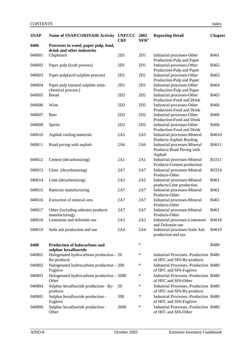| CON<br>$\rightarrow$ NTTC<br>◡◡<br>.<br>. | $\sim$<br>чех |
|-------------------------------------------|---------------|
|                                           |               |

| Name of SNAP/CORINAIR Activity UNFCCC 2002                         |                                                                                                                                                                 |                                                                                                                                                                               | <b>Reporting Detail</b>                                    | Chapter                                                                                                                                                                                                                                                                                                                                                                                                                                                                                                                                                                                                                                                                                       |
|--------------------------------------------------------------------|-----------------------------------------------------------------------------------------------------------------------------------------------------------------|-------------------------------------------------------------------------------------------------------------------------------------------------------------------------------|------------------------------------------------------------|-----------------------------------------------------------------------------------------------------------------------------------------------------------------------------------------------------------------------------------------------------------------------------------------------------------------------------------------------------------------------------------------------------------------------------------------------------------------------------------------------------------------------------------------------------------------------------------------------------------------------------------------------------------------------------------------------|
| Processes in wood, paper pulp, food,<br>drink and other industries |                                                                                                                                                                 |                                                                                                                                                                               |                                                            |                                                                                                                                                                                                                                                                                                                                                                                                                                                                                                                                                                                                                                                                                               |
| Chipboard                                                          | 2D1                                                                                                                                                             | 2D1                                                                                                                                                                           | Industrial processes-Other                                 | <b>B461</b>                                                                                                                                                                                                                                                                                                                                                                                                                                                                                                                                                                                                                                                                                   |
| Paper pulp (kraft process)                                         | 2D1                                                                                                                                                             | 2D1                                                                                                                                                                           | Industrial processes-Other                                 | <b>B462</b>                                                                                                                                                                                                                                                                                                                                                                                                                                                                                                                                                                                                                                                                                   |
| Paper pulp(acid sulphite process)                                  | 2D1                                                                                                                                                             | 2D1                                                                                                                                                                           | Industrial processes-Other<br>Production-Pulp and Paper    | B463                                                                                                                                                                                                                                                                                                                                                                                                                                                                                                                                                                                                                                                                                          |
| Paper pulp (neutral sulphite semi-<br>chemical process.)           | 2D1                                                                                                                                                             | 2D1                                                                                                                                                                           | Industrial processes-Other                                 | <b>B464</b>                                                                                                                                                                                                                                                                                                                                                                                                                                                                                                                                                                                                                                                                                   |
| <b>Bread</b>                                                       | 2D2                                                                                                                                                             | 2D2                                                                                                                                                                           | Industrial processes-Other<br>Production-Food and Drink    | <b>B465</b>                                                                                                                                                                                                                                                                                                                                                                                                                                                                                                                                                                                                                                                                                   |
| Wine                                                               | 2D2                                                                                                                                                             | 2D2                                                                                                                                                                           | Industrial processes-Other<br>Production-Food and Drink    | <b>B466</b>                                                                                                                                                                                                                                                                                                                                                                                                                                                                                                                                                                                                                                                                                   |
| Beer                                                               | 2D2                                                                                                                                                             |                                                                                                                                                                               | Production-Food and Drink                                  | <b>B466</b>                                                                                                                                                                                                                                                                                                                                                                                                                                                                                                                                                                                                                                                                                   |
|                                                                    |                                                                                                                                                                 |                                                                                                                                                                               | Production-Food and Drink                                  | <b>B466</b>                                                                                                                                                                                                                                                                                                                                                                                                                                                                                                                                                                                                                                                                                   |
|                                                                    |                                                                                                                                                                 |                                                                                                                                                                               | <b>Products-Asphalt Roofing</b>                            | B4610                                                                                                                                                                                                                                                                                                                                                                                                                                                                                                                                                                                                                                                                                         |
|                                                                    |                                                                                                                                                                 |                                                                                                                                                                               | Products-Road Paving with                                  | B4611                                                                                                                                                                                                                                                                                                                                                                                                                                                                                                                                                                                                                                                                                         |
| Cement (decarbonizing)                                             | 2A1                                                                                                                                                             | 2A1                                                                                                                                                                           | Industrial processes-Mineral<br>Products-Cement production | B3311                                                                                                                                                                                                                                                                                                                                                                                                                                                                                                                                                                                                                                                                                         |
| Glass (decarbonizing)                                              | 2A7                                                                                                                                                             | 2A7                                                                                                                                                                           | Industrial processes-Mineral<br>Products-Other             | <b>B3314</b>                                                                                                                                                                                                                                                                                                                                                                                                                                                                                                                                                                                                                                                                                  |
| Lime (decarbonizing)                                               | 2A2                                                                                                                                                             | 2A2                                                                                                                                                                           | Industrial processes-Mineral<br>products/Lime production   | B461                                                                                                                                                                                                                                                                                                                                                                                                                                                                                                                                                                                                                                                                                          |
| Batteries manufacturing                                            | 2A7                                                                                                                                                             | 2A7                                                                                                                                                                           | Industrial processes-Mineral<br>Products-Other             | <b>B461</b>                                                                                                                                                                                                                                                                                                                                                                                                                                                                                                                                                                                                                                                                                   |
| Extraction of mineral ores                                         | 2A7                                                                                                                                                             | 2A7                                                                                                                                                                           | Products-Other                                             | <b>B461</b>                                                                                                                                                                                                                                                                                                                                                                                                                                                                                                                                                                                                                                                                                   |
| Other (including asbestos products<br>manufacturing)               | 2A7                                                                                                                                                             | 2A7                                                                                                                                                                           | Products-Other                                             | <b>B461</b>                                                                                                                                                                                                                                                                                                                                                                                                                                                                                                                                                                                                                                                                                   |
|                                                                    | 2A3                                                                                                                                                             |                                                                                                                                                                               | and Dolomite use                                           | B4618                                                                                                                                                                                                                                                                                                                                                                                                                                                                                                                                                                                                                                                                                         |
|                                                                    |                                                                                                                                                                 |                                                                                                                                                                               | production and use                                         | B <sub>4619</sub>                                                                                                                                                                                                                                                                                                                                                                                                                                                                                                                                                                                                                                                                             |
| <b>Production of halocarbons and</b><br>sulphur hexafluoride       |                                                                                                                                                                 | *                                                                                                                                                                             |                                                            | <b>B480</b>                                                                                                                                                                                                                                                                                                                                                                                                                                                                                                                                                                                                                                                                                   |
|                                                                    |                                                                                                                                                                 | ∗                                                                                                                                                                             |                                                            |                                                                                                                                                                                                                                                                                                                                                                                                                                                                                                                                                                                                                                                                                               |
| Fugitive                                                           |                                                                                                                                                                 | *                                                                                                                                                                             | of HFC and SF6-Fugitive                                    |                                                                                                                                                                                                                                                                                                                                                                                                                                                                                                                                                                                                                                                                                               |
| Other                                                              |                                                                                                                                                                 | ∗                                                                                                                                                                             | of HFC and SF6-Other                                       |                                                                                                                                                                                                                                                                                                                                                                                                                                                                                                                                                                                                                                                                                               |
| Sulphur hexafluoride production - By-                              | 20                                                                                                                                                              | ∗                                                                                                                                                                             |                                                            |                                                                                                                                                                                                                                                                                                                                                                                                                                                                                                                                                                                                                                                                                               |
| Sulphur hexafluoride production -<br>Fugitive                      | 200                                                                                                                                                             | *                                                                                                                                                                             | of HFC and SF6-Fugitive                                    |                                                                                                                                                                                                                                                                                                                                                                                                                                                                                                                                                                                                                                                                                               |
| Sulphur hexafluoride production -<br>Other                         | 2000                                                                                                                                                            | ∗                                                                                                                                                                             | of HFC and SF6-Other                                       |                                                                                                                                                                                                                                                                                                                                                                                                                                                                                                                                                                                                                                                                                               |
|                                                                    | Spirits<br>Asphalt roofing materials<br>Road paving with asphalt<br>Limestone and dolomite use<br>Soda ash production and use<br><b>By-products</b><br>products | <b>CRF</b><br>2D2<br>2A5<br>2A6<br>2A4<br>Halogenated hydrocarbons production - 20<br>Halogenated hydrocarbons production - 200<br>Halogenated hydrocarbons production - 2000 | NFR <sup>1</sup><br>2D2<br>2D2<br>2A5<br>2A6<br>2A3<br>2A4 | Production-Pulp and Paper<br>Production-Pulp and Paper<br>Production-Pulp and Paper<br>Industrial processes-Other<br>Industrial processes-Other<br>Industrial processes-Mineral<br>Industrial processes-Mineral<br>Asphalt<br>Industrial processes-Mineral<br>Industrial processes-Mineral<br>Industrial processes-Limestone<br>Industrial processes-Soda Ash<br>Industrial Processes.-Production B480<br>of HFC and SF6-By-products<br>Industrial Processes.-Production B480<br><b>Industrial Processes.-Production B480</b><br>Industrial Processes.-Production B480<br>of HFC and SF6-By-products<br><b>Industrial Processes.-Production B480</b><br>Industrial Processes.-Production B480 |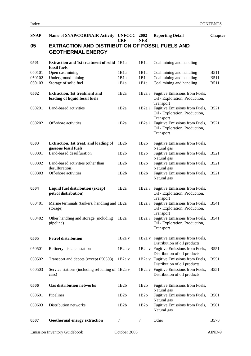| <b>SNAP</b> | Name of SNAP/CORINAIR Activity UNFCCC 2002                                         | <b>CRF</b> | NFR <sup>1</sup>               | <b>Reporting Detail</b>                                                       | Chapter     |
|-------------|------------------------------------------------------------------------------------|------------|--------------------------------|-------------------------------------------------------------------------------|-------------|
| 05          | <b>EXTRACTION AND DISTRIBUTION OF FOSSIL FUELS AND</b><br><b>GEOTHERMAL ENERGY</b> |            |                                |                                                                               |             |
| 0501        | <b>Extraction and 1st treatment of solid</b> 1B1a<br>fossil fuels                  |            | 1B1a                           | Coal mining and handling                                                      |             |
| 050101      | Open cast mining                                                                   | 1B1a       | 1B1a                           | Coal mining and handling                                                      | <b>B511</b> |
| 050102      | Underground mining                                                                 | 1B1a       | 1B1a                           | Coal mining and handling                                                      | <b>B511</b> |
| 050103      | Storage of solid fuel                                                              | 1B1a       | 1B1a                           | Coal mining and handling                                                      | <b>B511</b> |
| 0502        | <b>Extraction, 1st treatment and</b><br>loading of liquid fossil fuels             | 1B2a       | 1B2a i                         | Fugitive Emissions from Fuels,<br>Oil - Exploration, Production,<br>Transport |             |
| 050201      | Land-based activities                                                              | 1B2a       | 1B <sub>2</sub> a <sub>i</sub> | Fugitive Emissions from Fuels,<br>Oil - Exploration, Production,<br>Transport | <b>B521</b> |
| 050202      | Off-shore activities                                                               | 1B2a       | 1B2a i                         | Fugitive Emissions from Fuels,<br>Oil - Exploration, Production,<br>Transport | <b>B521</b> |
| 0503        | Extraction, 1st treat. and loading of<br>gaseous fossil fuels                      | 1B2b       | 1B2b                           | Fugitive Emissions from Fuels,<br>Natural gas                                 |             |
| 050301      | Land-based desulfuration                                                           | 1B2b       | 1B2b                           | Fugitive Emissions from Fuels,<br>Natural gas                                 | <b>B521</b> |
| 050302      | Land-based activities (other than<br>desulfuration)                                | 1B2b       | 1B2b                           | Fugitive Emissions from Fuels,<br>Natural gas                                 | <b>B521</b> |
| 050303      | Off-shore activities                                                               | 1B2b       | 1B2b                           | Fugitive Emissions from Fuels,<br>Natural gas                                 | <b>B521</b> |
| 0504        | Liquid fuel distribution (except<br>petrol distribution)                           | 1B2a       | 1B <sub>2</sub> ai             | Fugitive Emissions from Fuels,<br>Oil - Exploration, Production,<br>Transport |             |
| 050401      | Marine terminals (tankers, handling and 1B2a<br>storage)                           |            | 1B2a i                         | Fugitive Emissions from Fuels,<br>Oil - Exploration, Production,<br>Transport | <b>B541</b> |
| 050402      | Other handling and storage (including<br>pipeline)                                 | 1B2a       | 1B <sub>2ai</sub>              | Fugitive Emissions from Fuels,<br>Oil - Exploration, Production,<br>Transport | B541        |
| 0505        | <b>Petrol distribution</b>                                                         | 1B2a v     |                                | 1B2a v Fugitive Emissions from Fuels,<br>Distribution of oil products         |             |
| 050501      | Refinery dispatch station                                                          | 1B2a v     |                                | 1B2a v Fugitive Emissions from Fuels,<br>Distribution of oil products         | <b>B551</b> |
| 050502      | Transport and depots (except 050503)                                               | $1B2a$ v   |                                | 1B2a v Fugitive Emissions from Fuels,<br>Distribution of oil products         | <b>B551</b> |
| 050503      | Service stations (including refuelling of 1B2a v<br>cars)                          |            |                                | 1B2a v Fugitive Emissions from Fuels,<br>Distribution of oil products         | <b>B551</b> |
| 0506        | <b>Gas distribution networks</b>                                                   | 1B2b       | 1B2b                           | Fugitive Emissions from Fuels,<br>Natural gas                                 |             |
| 050601      | Pipelines                                                                          | 1B2b       | 1B2b                           | Fugitive Emissions from Fuels,<br>Natural gas                                 | <b>B561</b> |
| 050603      | Distribution networks                                                              | 1B2b       | 1B2b                           | Fugitive Emissions from Fuels,<br>Natural gas                                 | <b>B561</b> |
| 0507        | Geothermal energy extraction                                                       | 7          | $\tau$                         | Other                                                                         | <b>B570</b> |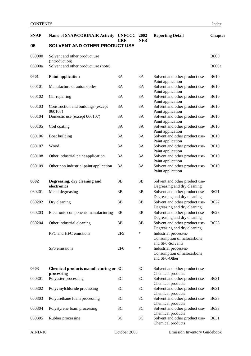| <b>SNAP</b> | Name of SNAP/CORINAIR Activity UNFCCC 2002          | CRF             | NFR <sup>1</sup> | <b>Reporting Detail</b>                                                 | <b>Chapter</b> |
|-------------|-----------------------------------------------------|-----------------|------------------|-------------------------------------------------------------------------|----------------|
| 06          | <b>SOLVENT AND OTHER PRODUCT USE</b>                |                 |                  |                                                                         |                |
| 060000      | Solvent and other product use<br>(introduction)     |                 |                  |                                                                         | <b>B600</b>    |
| 06000a      | Solvent and other product use (note)                |                 |                  |                                                                         | <b>B600a</b>   |
| 0601        | <b>Paint application</b>                            | 3A              | 3A               | Solvent and other product use-<br>Paint application                     | <b>B610</b>    |
| 060101      | Manufacture of automobiles                          | 3A              | 3A               | Solvent and other product use-<br>Paint application                     | <b>B610</b>    |
| 060102      | Car repairing                                       | 3A              | 3A               | Solvent and other product use-<br>Paint application                     | <b>B610</b>    |
| 060103      | Construction and buildings (except<br>060107)       | 3A              | 3A               | Solvent and other product use-<br>Paint application                     | <b>B610</b>    |
| 060104      | Domestic use (except 060107)                        | 3A              | 3A               | Solvent and other product use-<br>Paint application                     | <b>B610</b>    |
| 060105      | Coil coating                                        | 3A              | 3A               | Solvent and other product use-<br>Paint application                     | <b>B610</b>    |
| 060106      | Boat building                                       | 3A              | 3A               | Solvent and other product use-<br>Paint application                     | <b>B610</b>    |
| 060107      | Wood                                                | 3A              | 3A               | Solvent and other product use-<br>Paint application                     | <b>B610</b>    |
| 060108      | Other industrial paint application                  | 3A              | 3A               | Solvent and other product use-<br>Paint application                     | <b>B610</b>    |
| 060109      | Other non industrial paint application              | 3A              | 3A               | Solvent and other product use-<br>Paint application                     | <b>B610</b>    |
| 0602        | Degreasing, dry cleaning and<br>electronics         | 3B              | 3B               | Solvent and other product use-<br>Degreasing and dry cleaning           |                |
| 060201      | Metal degreasing                                    | 3B              | 3B               | Solvent and other product use-<br>Degreasing and dry cleaning           | B621           |
| 060202      | Dry cleaning                                        | 3B              | 3B               | Solvent and other product use-<br>Degreasing and dry cleaning           | B622           |
| 060203      | Electronic components manufacturing                 | 3B              | 3B               | Solvent and other product use-<br>Degreasing and dry cleaning           | B623           |
| 060204      | Other industrial cleaning                           | 3B              | 3B               | Solvent and other product use-<br>Degreasing and dry cleaning           | <b>B623</b>    |
|             | PFC and HFC emissions                               | 2F5             | ∗                | Industrial processes-<br>Consumption of halocarbons<br>and SF6-Solvents |                |
|             | SF6 emissions                                       | 2F <sub>6</sub> | $\ast$           | Industrial processes-<br>Consumption of halocarbons<br>and SF6-Other    |                |
| 0603        | Chemical products manufacturing or 3C<br>processing |                 | 3C               | Solvent and other product use-<br>Chemical products                     |                |
| 060301      | Polyester processing                                | 3 <sup>C</sup>  | 3C               | Solvent and other product use-<br>Chemical products                     | <b>B631</b>    |
| 060302      | Polyvinylchloride processing                        | 3C              | 3C               | Solvent and other product use-<br>Chemical products                     | <b>B631</b>    |
| 060303      | Polyurethane foam processing                        | 3C              | 3C               | Solvent and other product use-<br>Chemical products                     | <b>B633</b>    |
| 060304      | Polystyrene foam processing                         | 3C              | 3C               | Solvent and other product use-<br>Chemical products                     | <b>B633</b>    |
| 060305      | Rubber processing                                   | 3C              | 3C               | Solvent and other product use-<br>Chemical products                     | <b>B631</b>    |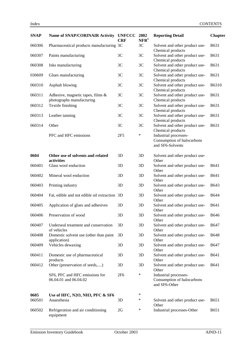| <b>SNAP</b> | Name of SNAP/CORINAIR Activity UNFCCC                          | <b>CRF</b>      | 2002<br>NFR <sup>1</sup> | <b>Reporting Detail</b>                                                 | Chapter     |
|-------------|----------------------------------------------------------------|-----------------|--------------------------|-------------------------------------------------------------------------|-------------|
| 060306      | Pharmaceutical products manufacturing 3C                       |                 | 3C                       | Solvent and other product use-<br>Chemical products                     | <b>B631</b> |
| 060307      | Paints manufacturing                                           | 3C              | 3C                       | Solvent and other product use-<br>Chemical products                     | B631        |
| 060308      | Inks manufacturing                                             | 3C              | 3C                       | Solvent and other product use-<br>Chemical products                     | <b>B631</b> |
| 030609      | Glues manufacturing                                            | 3C              | 3C                       | Solvent and other product use-<br>Chemical products                     | B631        |
| 060310      | Asphalt blowing                                                | 3C              | 3C                       | Solvent and other product use-<br>Chemical products                     | B6310       |
| 060311      | Adhesive, magnetic tapes, films &<br>photographs manufacturing | 3C              | 3C                       | Solvent and other product use-<br>Chemical products                     | <b>B631</b> |
| 060312      | Textile finishing                                              | 3C              | 3C                       | Solvent and other product use-<br>Chemical products                     | B631        |
| 060313      | Leather tanning                                                | 3C              | 3C                       | Solvent and other product use-<br>Chemical products                     | <b>B631</b> |
| 060314      | Other                                                          | 3C              | 3C                       | Solvent and other product use-<br>Chemical products                     | <b>B631</b> |
|             | PFC and HFC emissions                                          | 2F5             | *                        | Industrial processes-<br>Consumption of halocarbons<br>and SF6-Solvents |             |
| 0604        | Other use of solvents and related<br>activities                | 3D              | 3D                       | Solvent and other product use-<br>Other                                 |             |
| 060401      | Glass wool enduction                                           | 3D              | 3D                       | Solvent and other product use-<br>Other                                 | <b>B641</b> |
| 060402      | Mineral wool enduction                                         | 3D              | 3D                       | Solvent and other product use-<br>Other                                 | B641        |
| 060403      | Printing industry                                              | 3D              | 3D                       | Solvent and other product use-<br>Other                                 | <b>B643</b> |
| 060404      | Fat, edible and not edible oil extraction 3D                   |                 | 3D                       | Solvent and other product use-<br>Other                                 | <b>B644</b> |
| 060405      | Application of glues and adhesives                             | 3D              | 3D                       | Solvent and other product use-<br>Other                                 | <b>B641</b> |
| 060406      | Preservation of wood                                           | 3D              | 3D                       | Solvent and other product use-<br>Other                                 | <b>B646</b> |
| 060407      | Underseal treatment and conservation<br>of vehicles            | 3D              | 3D                       | Solvent and other product use-<br>Other                                 | <b>B647</b> |
| 060408      | Domestic solvent use (other than paint<br>application)         | 3D              | 3D                       | Solvent and other product use-<br>Other                                 | <b>B648</b> |
| 060409      | Vehicles dewaxing                                              | 3D              | 3D                       | Solvent and other product use-<br>Other                                 | <b>B647</b> |
| 060411      | Domestic use of pharmaceutical<br>products                     | 3D              | 3D                       | Solvent and other product use-<br>Other                                 | <b>B641</b> |
| 060412      | Other (preservation of seeds,)                                 | 3D              | 3D                       | Solvent and other product use-<br>Other                                 | B641        |
|             | SF6, PFC and HFC emissions for<br>06.04.01 and 06.04.02        | 2F <sub>6</sub> | *                        | Industrial processes-<br>Consumption of halocarbons<br>and SF6-Other    |             |
| 0605        | Use of HFC, N2O, NH3, PFC & SF6                                |                 | ∗                        |                                                                         |             |
| 060501      | Anaesthesia                                                    | 3D              | *                        | Solvent and other product use-<br>Other                                 | <b>B651</b> |
| 060502      | Refrigeration and air conditioning<br>equipment                | 2G              | *                        | Industrial processes-Other                                              | <b>B651</b> |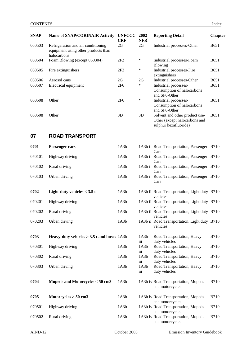#### CONTENTS Index

| <b>SNAP</b> | Name of SNAP/CORINAIR Activity                                                           | <b>UNFCCC</b><br><b>CRF</b> | 2002<br>NFR <sup>1</sup> | <b>Reporting Detail</b>                                                                  | <b>Chapter</b> |
|-------------|------------------------------------------------------------------------------------------|-----------------------------|--------------------------|------------------------------------------------------------------------------------------|----------------|
| 060503      | Refrigeration and air conditioning<br>equipment using other products than<br>halocarbons | $2{\rm G}$                  | 2G                       | Industrial processes-Other                                                               | <b>B651</b>    |
| 060504      | Foam Blowing (except 060304)                                                             | 2F2                         | $\ast$                   | Industrial processes-Foam<br>Blowing                                                     | <b>B651</b>    |
| 060505      | Fire extinguishers                                                                       | 2F <sub>3</sub>             | $\ast$                   | Industrial processes-Fire<br>extinguishers                                               | <b>B651</b>    |
| 060506      | Aerosol cans                                                                             | 2G                          | 2G                       | Industrial processes-Other                                                               | <b>B651</b>    |
| 060507      | Electrical equipment                                                                     | 2F <sub>6</sub>             | $\ast$                   | Industrial processes-<br>Consumption of halocarbons<br>and SF6-Other                     | <b>B651</b>    |
| 060508      | Other                                                                                    | 2F <sub>6</sub>             | $\ast$                   | Industrial processes-<br>Consumption of halocarbons<br>and SF6-Other                     | <b>B651</b>    |
| 060508      | Other                                                                                    | 3D                          | 3D                       | Solvent and other product use-<br>Other (except halocarbons and<br>sulphur hexafluoride) | <b>B651</b>    |
| 07          | <b>ROAD TRANSPORT</b>                                                                    |                             |                          |                                                                                          |                |
| 0701        | Passenger cars                                                                           | 1A3b                        |                          | 1A3b i Road Transportation, Passenger B710<br>Cars                                       |                |
| 070101      | Highway driving                                                                          | 1A3b                        |                          | 1A3b i Road Transportation, Passenger B710<br>Cars                                       |                |
| 070102      | Rural driving                                                                            | 1A3b                        |                          | 1A3b i Road Transportation, Passenger B710<br>Cars                                       |                |
| 070103      | Urban driving                                                                            | 1A3b                        |                          | 1A3b i Road Transportation, Passenger B710<br>Cars                                       |                |
| 0702        | Light-duty vehicles $<$ 3.5 t                                                            | 1A3b                        |                          | 1A3b ii Road Transportation, Light duty B710<br>vehicles                                 |                |
| 070201      | Highway driving                                                                          | 1A3b                        |                          | 1A3b ii Road Transportation, Light duty B710<br>vehicles                                 |                |
| 070202      | Rural driving                                                                            | 1A3b                        |                          | 1A3b ii Road Transportation, Light duty B710<br>vehicles                                 |                |
| 070203      | Urban driving                                                                            | 1A3b                        |                          | 1A3b ii Road Transportation, Light duty B710<br>vehicles                                 |                |
| 0703        | Heavy-duty vehicles $>$ 3.5 t and buses 1A3b                                             |                             | 1A3b<br>iii              | Road Transportation, Heavy<br>duty vehicles                                              | <b>B710</b>    |
| 070301      | Highway driving                                                                          | 1A3b                        | 1A3b<br>iii              | Road Transportation, Heavy<br>duty vehicles                                              | <b>B710</b>    |
| 070302      | Rural driving                                                                            | 1A3b                        | 1A3b<br>iii              | Road Transportation, Heavy<br>duty vehicles                                              | <b>B710</b>    |
| 070303      | Urban driving                                                                            | 1A3b                        | 1A3b<br>iii              | Road Transportation, Heavy<br>duty vehicles                                              | <b>B710</b>    |
| 0704        | Mopeds and Motorcycles < 50 cm3                                                          | 1A3b                        |                          | 1A3b iv Road Transportation, Mopeds<br>and motorcycles                                   | <b>B</b> 710   |
| 0705        | Motorcycles $> 50$ cm3                                                                   | 1A3b                        |                          | 1A3b iv Road Transportation, Mopeds<br>and motorcycles                                   | <b>B710</b>    |
| 070501      | Highway driving                                                                          | 1A3b                        |                          | 1A3b iv Road Transportation, Mopeds<br>and motorcycles                                   | <b>B710</b>    |
| 070502      | Rural driving                                                                            | 1A3b                        |                          | 1A3b iv Road Transportation, Mopeds<br>and motorcycles                                   | <b>B710</b>    |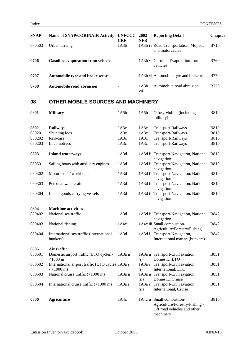| <b>SNAP</b> | Name of SNAP/CORINAIR Activity UNFCCC 2002 | <b>CRF</b>  | NFR <sup>1</sup> | <b>Reporting Detail</b>                                   | <b>Chapter</b> |
|-------------|--------------------------------------------|-------------|------------------|-----------------------------------------------------------|----------------|
| 070503      | Urban driving                              | 1A3b        |                  | 1A3b iv Road Transportation, Mopeds<br>and motorcycles    | <b>B710</b>    |
| 0706        | <b>Gasoline evaporation from vehicles</b>  |             |                  | 1A3b v Gasoline Evaporation from<br>vehicles              | <b>B760</b>    |
| 0707        | Automobile tyre and brake wear             |             |                  | 1A3b vi Automobile tyre and brake wear B770               |                |
| 0708        | <b>Automobile road abraision</b>           |             | 1A3b<br>vii      | Automobile road abraision                                 | <b>B770</b>    |
| 08          | OTHER MOBILE SOURCES AND MACHINERY         |             |                  |                                                           |                |
| 0801        | <b>Military</b>                            | 1A5b        | 1A5b             | Other, Mobile (including)<br>military)                    | <b>B810</b>    |
| 0802        | <b>Railways</b>                            | 1A3c        | 1A3c             | Transport-Railways                                        | <b>B810</b>    |
| 080201      | Shunting locs                              | 1A3c        | 1A3c             | Transport-Railways                                        | <b>B810</b>    |
| 080202      | Rail-cars                                  | 1A3c        | 1A3c             | Transport-Railways                                        | <b>B810</b>    |
| 080203      | Locomotives                                | 1A3c        | 1A3c             | Transport-Railways                                        | <b>B810</b>    |
| 0803        | <b>Inland waterways</b>                    | 1A3d        |                  | 1A3d ii Transport-Navigation, National<br>navigation      | <b>B810</b>    |
| 080301      | Sailing boats with auxiliary engines       | 1A3d        |                  | 1A3d ii Transport-Navigation, National<br>navigation      | <b>B810</b>    |
| 080302      | Motorboats / workboats                     | 1A3d        |                  | 1A3d ii Transport-Navigation, National<br>navigation      | <b>B810</b>    |
| 080303      | Personal watercraft                        | 1A3d        |                  | 1A3d ii Transport-Navigation, National<br>navigation      | <b>B810</b>    |
| 080304      | Inland goods carrying vessels              | 1A3d        |                  | 1A3d ii Transport-Navigation, National B810<br>navigation |                |
| 0804        | <b>Maritime activities</b>                 |             |                  |                                                           |                |
| 080402      | National sea traffic                       | 1A3d        |                  | 1A3d ii Transport-Navigation, National B842<br>navigation |                |
|             | $0.00402 - M_{\odot}$ $1.51$               | $1 \cdot A$ |                  | $1.4.4.1222$ $0.011$ $0.011$ $0.01$                       | D040           |

|        |                                          |         | 1.0007728002022                |
|--------|------------------------------------------|---------|--------------------------------|
| 080403 | National fishing                         | 1 A 4 c | 1A4c iii Small combustion-     |
|        |                                          |         | Agriculture/Forestry/Fishing   |
| 080404 | International sea traffic (international | 1A3d    | 1A3d i Transport-Navigation,   |
|        | bunkers)                                 |         | International marine (bunkers) |
|        |                                          |         |                                |

| 080501 | Domestic airport traffic (LTO cycles -           | 1A3a ii |      | 1A3a ii Transport-Civil aviation, | <b>B851</b> |
|--------|--------------------------------------------------|---------|------|-----------------------------------|-------------|
|        | $< 1000 \text{ m}$                               |         | (i)  | Domestic, LTO                     |             |
| 080502 | International airport traffic (LTO cycles 1A3a i |         |      | 1A3a i Transport-Civil aviation,  | <b>B851</b> |
|        | $-$ <1000 m)                                     |         | (i)  | International, LTO                |             |
| 080503 | National cruise traffic $(>1000 \text{ m})$      | 1A3a ii |      | 1A3a ii Transport-Civil aviation, | <b>B851</b> |
|        |                                                  |         | (11) | Domestic, Cruise                  |             |
| 080504 | International cruise traffic $(>1000 \text{ m})$ | 1A3a i  |      | 1A3a i Transport-Civil aviation,  | <b>B851</b> |
|        |                                                  |         | (ii) | International, Cruise             |             |
| 0806   | <b>Agriculture</b>                               | 1A4c    |      | 1A4c ii Small combustion-         | <b>B810</b> |
|        |                                                  |         |      | Agriculture/Forestry/Fishing -    |             |

|  | 1A4c ii Small combustion-      | <b>B810</b> |
|--|--------------------------------|-------------|
|  | Agriculture/Forestry/Fishing - |             |
|  | Off road vehicles and other    |             |
|  | machinery                      |             |
|  |                                |             |

**0805 Air traffic**

B842

B842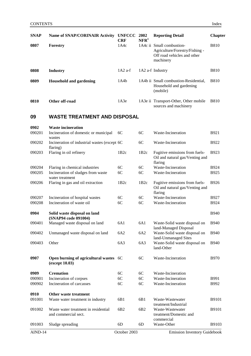| <b>SNAP</b> | Name of SNAP/CORINAIR Activity UNFCCC 2002                   | <b>CRF</b>      | NFR <sup>1</sup> | <b>Reporting Detail</b>                                                                                 | <b>Chapter</b> |
|-------------|--------------------------------------------------------------|-----------------|------------------|---------------------------------------------------------------------------------------------------------|----------------|
| 0807        | Forestry                                                     | 1A4c            |                  | 1A4c ii Small combustion-<br>Agriculture/Forestry/Fishing -<br>Off road vehicles and other<br>machinery | <b>B810</b>    |
| 0808        | <b>Industry</b>                                              | $1A2a-f$        |                  | 1A2 a-f Industry                                                                                        | <b>B810</b>    |
| 0809        | <b>Household and gardening</b>                               | 1A4b            |                  | 1A4b ii Small combustion-Residential,<br>Household and gardening<br>(mobile)                            | <b>B810</b>    |
| 0810        | Other off-road                                               | 1A3e            |                  | 1A3e ii Transport-Other, Other mobile<br>sources and machinery                                          | <b>B810</b>    |
| 09          | <b>WASTE TREATMENT AND DISPOSAL</b>                          |                 |                  |                                                                                                         |                |
| 0902        | <b>Waste incineration</b>                                    |                 |                  |                                                                                                         |                |
| 090201      | Incineration of domestic or municipal<br>wastes              | 6C              | 6C               | Waste-Incineration                                                                                      | <b>B921</b>    |
| 090202      | Incineration of industrial wastes (except 6C)<br>flaring)    |                 | 6C               | Waste-Incineration                                                                                      | B922           |
| 090203      | Flaring in oil refinery                                      | 1B2c            | 1B2c             | Fugitive emissions from fuels-<br>Oil and natural gas/Venting and<br>flaring                            | <b>B923</b>    |
| 090204      | Flaring in chemical industries                               | 6C              | 6C               | Waste-Incineration                                                                                      | B924           |
| 090205      | Incineration of sludges from waste<br>water treatment        | 6C              | 6C               | Waste-Incineration                                                                                      | B925           |
| 090206      | Flaring in gas and oil extraction                            | 1B2c            | 1B2c             | Fugitive emissions from fuels-<br>Oil and natural gas/Venting and<br>flaring                            | <b>B926</b>    |
| 090207      | Incineration of hospital wastes                              | 6C              | 6C               | Waste-Incineration                                                                                      | B927           |
| 090208      | Incineration of waste oil                                    | 6C              | 6C               | Waste-Incineration                                                                                      | <b>B924</b>    |
| 0904        | Solid waste disposal on land<br>(SNAP94 code 091004)         |                 |                  |                                                                                                         | <b>B940</b>    |
| 090401      | Managed waste disposal on land                               | 6A1             | 6A1              | Waste-Solid waste disposal on<br>land-Managed Disposal                                                  | <b>B940</b>    |
| 090402      | Unmanaged waste disposal on land                             | 6A2             | 6A2              | Waste-Solid waste disposal on<br>land-Unmanaged Sites                                                   | <b>B940</b>    |
| 090403      | Other                                                        | 6A3             | 6A3              | Waste-Solid waste disposal on<br>land-Other                                                             | <b>B940</b>    |
| 0907        | Open burning of agricultural wastes 6C<br>(except 10.03)     |                 | 6C               | Waste-Incineration                                                                                      | <b>B970</b>    |
| 0909        | <b>Cremation</b>                                             | 6C              | 6C               | Waste-Incineration                                                                                      |                |
| 090901      | Incineration of corpses                                      | 6C              | 6C               | Waste-Incineration                                                                                      | <b>B991</b>    |
| 090902      | Incineration of carcasses                                    | 6C              | 6C               | Waste-Incineration                                                                                      | B992           |
| 0910        | Other waste treatment                                        |                 |                  |                                                                                                         |                |
| 091001      | Waste water treatment in industry                            | 6B1             | 6B1              | Waste-Wastewater<br>treatment/Industrial                                                                | B9101          |
| 091002      | Waste water treatment in residential<br>and commercial sect. | 6B <sub>2</sub> | 6B <sub>2</sub>  | Waste-Wastewater<br>treatment/Domestic and<br>commercial                                                | B9101          |
| 091003      | Sludge spreading                                             | 6D              | 6D               | Waste-Other                                                                                             | B9103          |
|             |                                                              |                 |                  |                                                                                                         |                |

AIND-14 October 2003 Emission Inventory Guidebook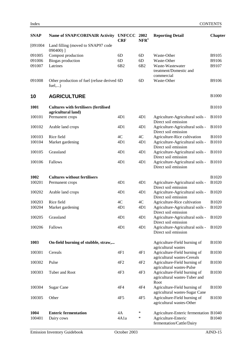| <b>SNAP</b> | Name of SNAP/CORINAIR Activity UNFCCC 2002                         | <b>CRF</b>      | NFR <sup>1</sup> | <b>Reporting Detail</b>                                        | Chapter      |
|-------------|--------------------------------------------------------------------|-----------------|------------------|----------------------------------------------------------------|--------------|
| [091004]    | Land filling (moved to SNAP97 code<br>090400) ]                    |                 |                  |                                                                |              |
| 091005      | Compost production                                                 | 6D              | 6D               | Waste-Other                                                    | B9105        |
| 091006      | Biogas production                                                  | 6D              | 6D               | Waste-Other                                                    | B9106        |
| 091007      | Latrines                                                           | 6B2             | 6B2              | Waste-Wastewater                                               | B9107        |
|             |                                                                    |                 |                  | treatment/Domestic and<br>commercial                           |              |
| 091008      | Other production of fuel (refuse derived 6D<br>fuel,)              |                 | 6 <sub>D</sub>   | Waste-Other                                                    | <b>B9106</b> |
| 10          | <b>AGRICULTURE</b>                                                 |                 |                  |                                                                | <b>B1000</b> |
| 1001        | <b>Cultures with fertilisers (fertilised</b><br>agricultural land) |                 |                  |                                                                | <b>B1010</b> |
| 100101      | Permanent crops                                                    | 4D1             | 4D1              | Agriculture-Agricultural soils -                               | <b>B1010</b> |
|             |                                                                    |                 |                  | Direct soil emission                                           |              |
| 100102      | Arable land crops                                                  | 4D1             | 4D1              | Agriculture-Agricultural soils -                               | <b>B1010</b> |
|             |                                                                    |                 |                  | Direct soil emission                                           |              |
| 100103      | Rice field                                                         | 4C              | 4C               | Agriculture-Rice cultivation                                   | <b>B1010</b> |
| 100104      | Market gardening                                                   | 4D1             | 4D1              | Agriculture-Agricultural soils -                               | <b>B1010</b> |
|             |                                                                    |                 |                  | Direct soil emission                                           |              |
| 100105      | Grassland                                                          | 4D1             | 4D1              | Agriculture-Agricultural soils -<br>Direct soil emission       | <b>B1010</b> |
| 100106      | Fallows                                                            | 4D1             | 4D1              | Agriculture-Agricultural soils -<br>Direct soil emission       | <b>B1010</b> |
|             |                                                                    |                 |                  |                                                                |              |
| 1002        | <b>Cultures without fertilisers</b>                                |                 |                  |                                                                | B1020        |
| 100201      | Permanent crops                                                    | 4D1             | 4D1              | Agriculture-Agricultural soils -<br>Direct soil emission       | B1020        |
| 100202      | Arable land crops                                                  | 4D1             | 4D1              | Agriculture-Agricultural soils -<br>Direct soil emission       | <b>B1020</b> |
| 100203      | Rice field                                                         | 4C              | 4C               | Agriculture-Rice cultivation                                   | B1020        |
| 100204      | Market gardening                                                   | 4D1             | 4D1              | Agriculture-Agricultural soils -<br>Direct soil emission       | B1020        |
| 100205      | Grassland                                                          | 4D1             | 4D1              | Agriculture-Agricultural soils -<br>Direct soil emission       | <b>B1020</b> |
| 100206      | Fallows                                                            | 4D1             | 4D1              | Agriculture-Agricultural soils -<br>Direct soil emission       | B1020        |
| 1003        |                                                                    |                 |                  |                                                                | B1030        |
|             | On-field burning of stubble, straw,                                |                 |                  | Agriculture-Field burning of<br>agricultural wastes            |              |
| 100301      | Cereals                                                            | 4F1             | 4F1              | Agriculture-Field burning of<br>agricultural wastes-Cereals    | B1030        |
| 100302      | Pulse                                                              | 4F <sub>2</sub> | 4F <sub>2</sub>  | Agriculture-Field burning of<br>agricultural wastes-Pulse      | B1030        |
| 100303      | Tuber and Root                                                     | 4F3             | 4F3              | Agriculture-Field burning of<br>agricultural wastes-Tuber and  | <b>B1030</b> |
|             |                                                                    |                 |                  | Root                                                           |              |
| 100304      | <b>Sugar Cane</b>                                                  | 4F <sub>4</sub> | 4F4              | Agriculture-Field burning of<br>agricultural wastes-Sugar Cane | <b>B1030</b> |
| 100305      | Other                                                              | 4F5             | 4F <sub>5</sub>  | Agriculture-Field burning of                                   | B1030        |
|             |                                                                    |                 |                  | agricultural wastes-Other                                      |              |
| 1004        | <b>Enteric fermentation</b>                                        | 4A              | ∗                | Agriculture-Enteric fermentation B1040                         |              |
| 100401      | Dairy cows                                                         | 4A1a            | ∗                | Agriculture-Enteric                                            | <b>B1040</b> |
|             |                                                                    |                 |                  | fermentation/Cattle/Dairy                                      |              |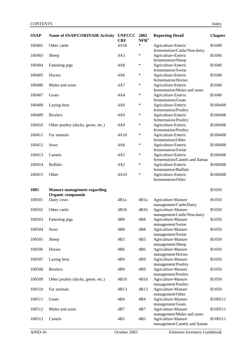| <b>SNAP</b> | <b>Name of SNAP/CORINAIR Activity</b> | <b>UNFCCC</b><br><b>CRF</b> | 2002<br>NFR <sup>1</sup> | <b>Reporting Detail</b>                   | <b>Chapter</b> |
|-------------|---------------------------------------|-----------------------------|--------------------------|-------------------------------------------|----------------|
| 100402      | Other cattle                          | 4A1b                        | *                        | Agriculture-Enteric                       | <b>B1040</b>   |
|             |                                       |                             |                          | fermentation/Cattle/Non-dairy             |                |
| 100403      | Sheep                                 | 4A3                         | $\ast$                   | Agriculture-Enteric                       | B1040          |
| 100404      |                                       | 4A8                         | $\ast$                   | fermentation/Sheep<br>Agriculture-Enteric | <b>B1040</b>   |
|             | Fattening pigs                        |                             |                          | fermentation/Swine                        |                |
| 100405      | Horses                                | 4A6                         | $\ast$                   | Agriculture-Enteric                       | B1040          |
|             |                                       |                             |                          | fermentation/Horses                       |                |
| 100406      | Mules and asses                       | 4A7                         | $\ast$                   | Agriculture-Enteric                       | <b>B1040</b>   |
|             |                                       |                             |                          | fermentation/Mules and asses              |                |
| 100407      | Goats                                 | 4A4                         | $\ast$                   | Agriculture-Enteric                       | <b>B1040</b>   |
| 100408      | Laying hens                           | 4A9                         | $\ast$                   | fermentation/Goats<br>Agriculture-Enteric | B100408        |
|             |                                       |                             |                          | fermentation/Poultry                      |                |
| 100409      | <b>Broilers</b>                       | 4A9                         | $\ast$                   | Agriculture-Enteric                       | B100408        |
|             |                                       |                             |                          | fermentation/Poultry                      |                |
| 100410      | Other poultry (ducks, geese, etc.)    | 4A9                         | $\ast$                   | Agriculture-Enteric                       | B100408        |
|             |                                       |                             |                          | fermentation/Poultry                      |                |
| 100411      | Fur animals                           | 4A10                        | $\ast$                   | Agriculture-Enteric                       | B100408        |
| 100412      | Sows                                  | 4A8                         | $\ast$                   | fermentation/Other<br>Agriculture-Enteric | B100408        |
|             |                                       |                             |                          | fermentation/Swine                        |                |
| 100413      | Camels                                | 4A5                         | $\ast$                   | Agriculture-Enteric                       | B100408        |
|             |                                       |                             |                          | fermentation/Camels and llamas            |                |
| 100414      | <b>Buffalo</b>                        | 4A2                         | $\ast$                   | Agriculture-Enteric                       | B100408        |
|             |                                       |                             |                          | fermentation/Buffalo                      |                |
| 100415      | Other                                 | 4A10                        | $\ast$                   | Agriculture-Enteric                       | B100408        |
|             |                                       |                             |                          | fermentation/Other                        |                |
| 1005        | <b>Manure management regarding</b>    |                             |                          |                                           | <b>B1050</b>   |
|             | <b>Organic compounds</b>              |                             |                          |                                           |                |
| 100501      | Dairy cows                            | 4B1a                        | 4B1a                     | Agriculture-Manure                        | B1050          |
|             |                                       |                             |                          | management/Cattle/Dairy                   |                |
| 100502      | Other cattle                          | 4B1b                        | 4B1b                     | Agriculture-Manure                        | B1050          |
|             |                                       |                             |                          | management/Cattle/Non-dairy               |                |
| 100503      | Fattening pigs                        | 4B8                         | 4B8                      | Agriculture-Manure<br>management/Swine    | <b>B1050</b>   |
| 100504      | Sows                                  | 4B <sub>8</sub>             | 4B8                      | Agriculture-Manure                        | B1050          |
|             |                                       |                             |                          | management/Swine                          |                |
| 100505      | Sheep                                 | 4B3                         | 4B3                      | Agriculture-Manure                        | <b>B1050</b>   |
|             |                                       |                             |                          | management/Sheep                          |                |
| 100506      | Horses                                | 4B <sub>6</sub>             | 4B6                      | Agriculture-Manure                        | B1050          |
| 100507      | Laying hens                           | 4B9                         | 4B9                      | management/Horses<br>Agriculture-Manure   | B1050          |
|             |                                       |                             |                          | management/Poultry                        |                |
| 100508      | <b>Broilers</b>                       | 4B9                         | 4B9                      | Agriculture-Manure                        | B1050          |
|             |                                       |                             |                          | management/Poultry                        |                |
| 100509      | Other poultry (ducks, geese, etc.)    | 4B10                        | 4B10                     | Agriculture-Manure                        | B1050          |
|             |                                       |                             |                          | management/Poultry                        |                |
| 100510      | Fur animals                           | 4B13                        | 4B13                     | Agriculture-Manure                        | B1050          |
| 100511      | Goats                                 | 4B4                         | 4B4                      | management/Other<br>Agriculture-Manure    | B100511        |
|             |                                       |                             |                          | management/Goats                          |                |
| 100512      | Mules and asses                       | 4B7                         | 4B7                      | Agriculture-Manure                        | B100511        |
|             |                                       |                             |                          | management/Mules and asses                |                |
| 100513      | Camels                                | 4B <sub>5</sub>             | 4B5                      | Agriculture-Manure                        | B100511        |
|             |                                       |                             |                          | management/Camels and llamas              |                |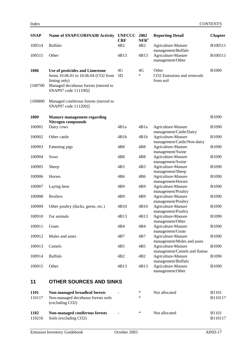| <b>SNAP</b>     | <b>Name of SNAP/CORINAIR Activity</b>                                                                                          | <b>UNFCCC 2002</b><br><b>CRF</b> | NFR <sup>1</sup> | <b>Reporting Detail</b>                            | <b>Chapter</b> |
|-----------------|--------------------------------------------------------------------------------------------------------------------------------|----------------------------------|------------------|----------------------------------------------------|----------------|
| 100514          | <b>Buffalo</b>                                                                                                                 | 4B <sub>2</sub>                  | 4B <sub>2</sub>  | Agriculture-Manure<br>management/Buffalo           | B100511        |
| 100515          | Other                                                                                                                          | 4B13                             | 4B13             | Agriculture-Manure<br>management/Other             | B100511        |
| 1006<br>[100700 | Use of pesticides and Limestone<br>Items 10.06.01 to 10.06.04 (CO2 from<br>liming only)<br>Managed deciduous forests (moved to | 4G<br>5D                         | 4G<br>*          | Other<br>CO2 Emissions and removals<br>from soil   | B1060          |
|                 | SNAP97 code 111100)]                                                                                                           |                                  |                  |                                                    |                |
| [100800]        | Managed coniferous forests (moved to<br>SNAP97 code 111200)]                                                                   |                                  |                  |                                                    |                |
| 1009            | <b>Manure management regarding</b><br>Nitrogen compounds                                                                       |                                  |                  |                                                    | B1090          |
| 100901          | Dairy cows                                                                                                                     | 4B1a                             | 4B1a             | Agriculture-Manure<br>management/Cattle/Dairy      | <b>B1090</b>   |
| 100902          | Other cattle                                                                                                                   | 4B1b                             | 4B1b             | Agriculture-Manure<br>management/Cattle/Non-dairy  | B1090          |
| 100903          | Fattening pigs                                                                                                                 | 4B8                              | 4B8              | Agriculture-Manure<br>management/Swine             | B1090          |
| 100904          | Sows                                                                                                                           | 4B8                              | 4B8              | Agriculture-Manure<br>management/Swine             | <b>B1090</b>   |
| 100905          | Sheep                                                                                                                          | 4B <sub>3</sub>                  | 4B <sub>3</sub>  | Agriculture-Manure<br>management/Sheep             | <b>B1090</b>   |
| 100906          | Horses                                                                                                                         | 4B6                              | 4B6              | Agriculture-Manure<br>management/Horses            | <b>B1090</b>   |
| 100907          | Laying hens                                                                                                                    | 4B9                              | 4B9              | Agriculture-Manure<br>management/Poultry           | <b>B1090</b>   |
| 100908          | <b>Broilers</b>                                                                                                                | 4B9                              | 4B9              | Agriculture-Manure<br>management/Poultry           | B1090          |
| 100909          | Other poultry (ducks, geese, etc.)                                                                                             | 4B10                             | 4B10             | Agriculture-Manure<br>management/Poultry           | <b>B1090</b>   |
| 100910          | Fur animals                                                                                                                    | 4B13                             | 4B13             | Agriculture-Manure<br>management/Other             | <b>B1090</b>   |
| 100911          | Goats                                                                                                                          | 4B4                              | 4B4              | Agriculture-Manure<br>management/Goats             | B1090          |
| 100912          | Mules and asses                                                                                                                | 4B7                              | 4B7              | Agriculture-Manure<br>management/Mules and asses   | <b>B1090</b>   |
| 100913          | Camels                                                                                                                         | 4B5                              | 4B5              | Agriculture-Manure<br>management/Camels and llamas | <b>B1090</b>   |
| 100914          | <b>Buffalo</b>                                                                                                                 | 4B2                              | 4B <sub>2</sub>  | Agriculture-Manure<br>management/Buffalo           | B1090          |
| 100915          | Other                                                                                                                          | 4B13                             | 4B13             | Agriculture-Manure<br>management/Other             | B1090          |
| 11              | <b>OTHER SOURCES AND SINKS</b>                                                                                                 |                                  |                  |                                                    |                |
| 1101            | Non-managed broadleaf forests                                                                                                  |                                  | ∗                | Not allocated                                      | <b>B1101</b>   |
| 110117          | Non-managed deciduous forests soils<br>(excluding CO2)                                                                         |                                  | *                |                                                    | B110117        |
| 1102            | Non-managed coniferous forests                                                                                                 |                                  | ∗                | Not allocated                                      | <b>B1101</b>   |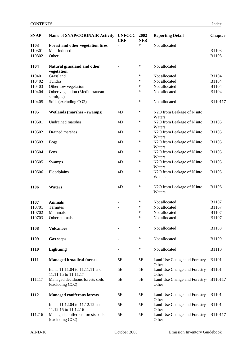| <b>SNAP</b> | Name of SNAP/CORINAIR Activity UNFCCC 2002             | <b>CRF</b>     | NFR <sup>1</sup> | <b>Reporting Detail</b>                        | <b>Chapter</b> |
|-------------|--------------------------------------------------------|----------------|------------------|------------------------------------------------|----------------|
| 1103        | Forest and other vegetation fires                      | $\blacksquare$ | $\ast$           | Not allocated                                  |                |
| 110301      | Man-induced                                            |                |                  |                                                | B1103          |
| 110302      | Other                                                  |                |                  |                                                | B1103          |
| 1104        | Natural grassland and other<br>vegetation              |                | *                | Not allocated                                  |                |
| 110401      | Grassland                                              |                | $\ast$           | Not allocated                                  | B1104          |
| 110402      | Tundra                                                 |                | $\ast$           | Not allocated                                  | B1104          |
| 110403      | Other low vegetation                                   |                | $\ast$           | Not allocated                                  | B1104          |
| 110404      | Other vegetation (Mediterranean<br>scrub,)             |                | *                | Not allocated                                  | B1104          |
| 110405      | Soils (excluding CO2)                                  |                | $\ast$           | Not allocated                                  | B110117        |
| 1105        | Wetlands (marshes - swamps)                            | 4D             | ∗                | N2O from Leakage of N into<br>Waters           |                |
| 110501      | Undrained marshes                                      | 4D             | ∗                | N2O from Leakage of N into                     | B1105          |
|             |                                                        |                | $\ast$           | Waters                                         |                |
| 110502      | Drained marshes                                        | 4D             |                  | N2O from Leakage of N into<br>Waters           | B1105          |
| 110503      | <b>Bogs</b>                                            | 4D             | $\ast$           | N2O from Leakage of N into                     | B1105          |
| 110504      | Fens                                                   | 4D             | *                | Waters<br>N2O from Leakage of N into           | B1105          |
|             |                                                        |                |                  | Waters                                         |                |
| 110505      | Swamps                                                 | 4D             | $\ast$           | N2O from Leakage of N into                     | B1105          |
| 110506      | Floodplains                                            | 4D             | $\ast$           | Waters<br>N2O from Leakage of N into           | B1105          |
|             |                                                        |                |                  | Waters                                         |                |
| 1106        | Waters                                                 | 4D             | ∗                | N2O from Leakage of N into<br>Waters           | <b>B1106</b>   |
| 1107        | <b>Animals</b>                                         |                | ∗                | Not allocated                                  | <b>B1107</b>   |
| 110701      | Termites                                               |                | *                | Not allocated                                  | B1107          |
| 110702      | Mammals                                                |                | *                | Not allocated                                  | B1107          |
| 110703      | Other animals                                          |                | *                | Not allocated                                  | B1107          |
| 1108        | <b>Volcanoes</b>                                       |                | *                | Not allocated                                  | <b>B1108</b>   |
| 1109        | <b>Gas seeps</b>                                       |                | *                | Not allocated                                  | <b>B1109</b>   |
| <b>1110</b> | Lightning                                              |                | $\ast$           | Not allocated                                  | <b>B1110</b>   |
| 1111        | <b>Managed broadleaf forests</b>                       | 5Ε             | 5E               | Land Use Change and Forestry- B1101<br>Other   |                |
|             | Items 11.11.04 to 11.11.11 and<br>11.11.15 to 11.11.17 | 5E             | 5E               | Land Use Change and Forestry- B1101<br>Other   |                |
| 111117      | Managed deciduous forests soils<br>(excluding CO2)     | 5E             | 5E               | Land Use Change and Forestry- B110117<br>Other |                |
| 1112        | <b>Managed coniferous forests</b>                      | 5E             | 5E               | Land Use Change and Forestry- B1101<br>Other   |                |
|             | Items 11.12.04 to 11.12.12 and<br>11.12.15 to 11.12.16 | 5E             | 5E               | Land Use Change and Forestry- B1101            |                |
| 111216      | Managed coniferous forests soils                       | 5E             | 5E               | Other<br>Land Use Change and Forestry- B110117 |                |
|             | (excluding CO2)                                        |                |                  | Other                                          |                |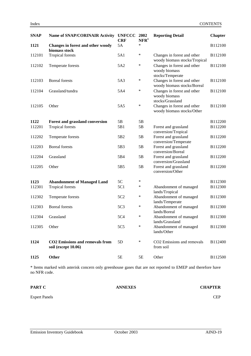| <b>SNAP</b> | <b>Name of SNAP/CORINAIR Activity</b>                         | <b>UNFCCC</b><br><b>CRF</b> | 2002<br>NFR <sup>1</sup> | <b>Reporting Detail</b>                                          | <b>Chapter</b> |
|-------------|---------------------------------------------------------------|-----------------------------|--------------------------|------------------------------------------------------------------|----------------|
| 1121        | Changes in forest and other woody<br>biomass stock            | 5A                          | *                        |                                                                  | B112100        |
| 112101      | <b>Tropical forests</b>                                       | 5A1                         | ∗                        | Changes in forest and other<br>woody biomass stocks/Tropical     | B112100        |
| 112102      | Temperate forests                                             | 5A <sub>2</sub>             | $\ast$                   | Changes in forest and other<br>woody biomass<br>stocks/Temperate | B112100        |
| 112103      | <b>Boreal</b> forests                                         | 5A3                         | ∗                        | Changes in forest and other<br>woody biomass stocks/Boreal       | B112100        |
| 112104      | Grassland/tundra                                              | 5A4                         | $\ast$                   | Changes in forest and other<br>woody biomass<br>stocks/Grassland | B112100        |
| 112105      | Other                                                         | 5A5                         | *                        | Changes in forest and other<br>woody biomass stocks/Other        | B112100        |
| 1122        | Forest and grassland conversion                               | 5B                          | 5B                       |                                                                  | B112200        |
| 112201      | <b>Tropical forests</b>                                       | 5B1                         | 5B                       | Forest and grassland<br>conversion/Tropical                      | B112200        |
| 112202      | Temperate forests                                             | 5B <sub>2</sub>             | 5B                       | Forest and grassland<br>conversion/Temperate                     | B112200        |
| 112203      | <b>Boreal</b> forests                                         | 5 <sub>B</sub> 3            | 5B                       | Forest and grassland<br>conversion/Boreal                        | B112200        |
| 112204      | Grassland                                                     | 5B4                         | 5B                       | Forest and grassland<br>conversion/Grassland                     | B112200        |
| 112205      | Other                                                         | 5B <sub>5</sub>             | 5B                       | Forest and grassland<br>conversion/Other                         | B112200        |
| 1123        | <b>Abandonment of Managed Land</b>                            | 5C                          | *                        |                                                                  | B112300        |
| 112301      | <b>Tropical forests</b>                                       | 5C1                         | *                        | Abandonment of managed<br>lands/Tropical                         | B112300        |
| 112302      | Temperate forests                                             | 5C <sub>2</sub>             | $\ast$                   | Abandonment of managed<br>lands/Temperate                        | B112300        |
| 112303      | <b>Boreal</b> forests                                         | 5C <sub>3</sub>             | ∗                        | Abandonment of managed<br>lands/Boreal                           | B112300        |
| 112304      | Grassland                                                     | 5C4                         | $\ast$                   | Abandonment of managed<br>lands/Grassland                        | B112300        |
| 112305      | Other                                                         | 5C5                         | ∗                        | Abandonment of managed<br>lands/Other                            | B112300        |
| 1124        | <b>CO2 Emissions and removals from</b><br>soil (except 10.06) | 5D                          | *                        | CO <sub>2</sub> Emissions and removals<br>from soil              | B112400        |
| 1125        | Other                                                         | 5E                          | 5E                       | Other                                                            | B112500        |

\* Items marked with asterisk concern only greenhouse gases that are not reported to EMEP and therefore have no NFR code.

**PART C ANNEXES CHAPTER** 

Expert Panels CEP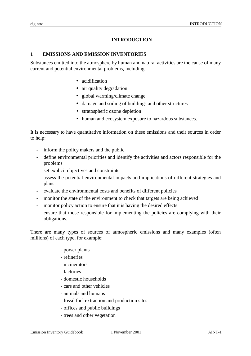#### **INTRODUCTION**

#### **1 EMISSIONS AND EMISSION INVENTORIES**

Substances emitted into the atmosphere by human and natural activities are the cause of many current and potential environmental problems, including:

- acidification
- air quality degradation
- global warming/climate change
- damage and soiling of buildings and other structures
- stratospheric ozone depletion
- human and ecosystem exposure to hazardous substances.

It is necessary to have quantitative information on these emissions and their sources in order to help:

- inform the policy makers and the public
- define environmental priorities and identify the activities and actors responsible for the problems
- set explicit objectives and constraints
- assess the potential environmental impacts and implications of different strategies and plans
- evaluate the environmental costs and benefits of different policies
- monitor the state of the environment to check that targets are being achieved
- monitor policy action to ensure that it is having the desired effects
- ensure that those responsible for implementing the policies are complying with their obligations.

There are many types of sources of atmospheric emissions and many examples (often millions) of each type, for example:

- power plants
- refineries
- incinerators
- factories
- domestic households
- cars and other vehicles
- animals and humans
- fossil fuel extraction and production sites
- offices and public buildings
- trees and other vegetation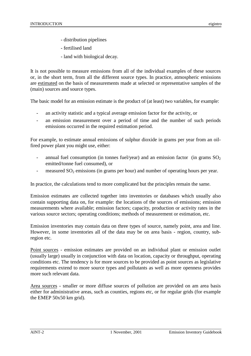- distribution pipelines
- fertilised land
- land with biological decay.

It is not possible to measure emissions from all of the individual examples of these sources or, in the short term, from all the different source types. In practice, atmospheric emissions are estimated on the basis of measurements made at selected or representative samples of the (main) sources and source types.

The basic model for an emission estimate is the product of (at least) two variables, for example:

- an activity statistic and a typical average emission factor for the activity, or
- an emission measurement over a period of time and the number of such periods emissions occurred in the required estimation period.

For example, to estimate annual emissions of sulphur dioxide in grams per year from an oilfired power plant you might use, either:

- annual fuel consumption (in tonnes fuel/year) and an emission factor (in grams  $SO<sub>2</sub>$ emitted/tonne fuel consumed), or
- measured  $SO_2$  emissions (in grams per hour) and number of operating hours per year.

In practice, the calculations tend to more complicated but the principles remain the same.

Emission estimates are collected together into inventories or databases which usually also contain supporting data on, for example: the locations of the sources of emissions; emission measurements where available; emission factors; capacity, production or activity rates in the various source sectors; operating conditions; methods of measurement or estimation, etc.

Emission inventories may contain data on three types of source, namely point, area and line. However, in some inventories all of the data may be on area basis - region, country, subregion etc.

Point sources - emission estimates are provided on an individual plant or emission outlet (usually large) usually in conjunction with data on location, capacity or throughput, operating conditions etc. The tendency is for more sources to be provided as point sources as legislative requirements extend to more source types and pollutants as well as more openness provides more such relevant data.

Area sources - smaller or more diffuse sources of pollution are provided on am area basis either for administrative areas, such as counties, regions etc, or for regular grids (for example the EMEP 50x50 km grid).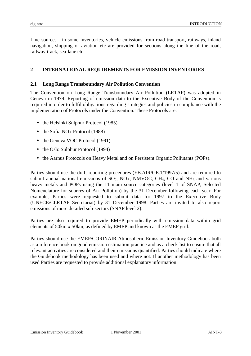Line sources - in some inventories, vehicle emissions from road transport, railways, inland navigation, shipping or aviation etc are provided for sections along the line of the road, railway-track, sea-lane etc.

#### **2 INTERNATIONAL REQUIREMENTS FOR EMISSION INVENTORIES**

#### **2.1 Long Range Transboundary Air Pollution Convention**

The Convention on Long Range Transboundary Air Pollution (LRTAP) was adopted in Geneva in 1979. Reporting of emission data to the Executive Body of the Convention is required in order to fulfil obligations regarding strategies and policies in compliance with the implementation of Protocols under the Convention. These Protocols are:

- the Helsinki Sulphur Protocol (1985)
- the Sofia NO<sub>x</sub> Protocol (1988)
- the Geneva VOC Protocol (1991)
- the Oslo Sulphur Protocol (1994)
- the Aarhus Protocols on Heavy Metal and on Persistent Organic Pollutants (POPs).

Parties should use the draft reporting procedures (EB.AIR/GE.1/1997/5) and are required to submit annual national emissions of  $SO_2$ , NOx, NMVOC, CH<sub>4</sub>, CO and NH<sub>3</sub> and various heavy metals and POPs using the 11 main source categories (level 1 of SNAP, Selected Nomenclature for sources of Air Pollution) by the 31 December following each year. For example, Parties were requested to submit data for 1997 to the Executive Body (UNECE/CLRTAP Secretariat) by 31 December 1998. Parties are invited to also report emissions of more detailed sub-sectors (SNAP level 2).

Parties are also required to provide EMEP periodically with emission data within grid elements of 50km x 50km, as defined by EMEP and known as the EMEP grid.

Parties should use the EMEP/CORINAIR Atmospheric Emission Inventory Guidebook both as a reference book on good emission estimation practice and as a check-list to ensure that all relevant activities are considered and their emissions quantified. Parties should indicate where the Guidebook methodology has been used and where not. If another methodology has been used Parties are requested to provide additional explanatory information.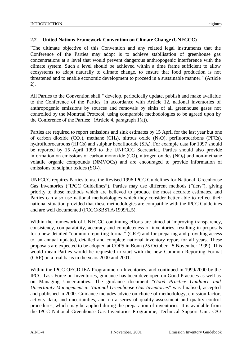#### **2.2 United Nations Framework Convention on Climate Change (UNFCCC)**

"The ultimate objective of this Convention and any related legal instruments that the Conference of the Parties may adopt is to achieve stabilisation of greenhouse gas concentrations at a level that would prevent dangerous anthropogenic interference with the climate system. Such a level should be achieved within a time frame sufficient to allow ecosystems to adapt naturally to climate change, to ensure that food production is not threatened and to enable economic development to proceed in a sustainable manner." (Article 2).

All Parties to the Convention shall " develop, periodically update, publish and make available to the Conference of the Parties, in accordance with Article 12, national inventories of anthropogenic emissions by sources and removals by sinks of all greenhouse gases not controlled by the Montreal Protocol, using comparable methodologies to be agreed upon by the Conference of the Parties;" (Article 4, paragraph 1(a)).

Parties are required to report emissions and sink estimates by 15 April for the last year but one of carbon dioxide  $(CO_2)$ , methane  $(CH_4)$ , nitrous oxide  $(N_2O)$ , perfluorocarbons (PFCs), hydrofluorocarbons (HFCs) and sulphur hexafluoride  $(SF_6)$ . For example data for 1997 should be reported by 15 April 1999 to the UNFCCC Secretariat. Parties should also provide information on emissions of carbon monoxide (CO), nitrogen oxides  $(NO_x)$  and non-methane volatile organic compounds (NMVOCs) and are encouraged to provide information of emissions of sulphur oxides  $(SO<sub>2</sub>)$ .

UNFCCC requires Parties to use the Revised 1996 IPCC Guidelines for National Greenhouse Gas Inventories ("IPCC Guidelines"). Parties may use different methods ("tiers"), giving priority to those methods which are believed to produce the most accurate estimates, and Parties can also use national methodologies which they consider better able to reflect their national situation provided that these methodologies are compatible with the IPCC Guidelines and are well documented (FCCC/SBSTA/1999/L.5).

Within the framework of UNFCCC continuing efforts are aimed at improving transparency, consistency, comparability, accuracy and completeness of inventories, resulting in proposals for a new detailed "common reporting format" (CRF) and for preparing and providing access to, an annual updated, detailed and complete national inventory report for all years. These proposals are expected to be adopted at COP5 in Bonn (25 October - 5 November 1999). This would mean Parties would be requested to start with the new Common Reporting Format (CRF) on a trial basis in the years 2000 and 2001.

Within the IPCC-OECD-IEA Programme on Inventories, and continued in 1999/2000 by the IPCC Task Force on Inventories, guidance has been developed on Good Practices as well as on Managing Uncertainties. The guidance document "*Good Practice Guidance and Uncertainty Management in National Greenhouse Gas Inventories*" was finalised, accepted and published in 2000. Guidance includes advice on choice of methodology, emission factor, activity data, and uncertainties, and on a series of quality assessment and quality control procedures, which may be applied during the preparation of inventories. It is available from the IPCC National Greenhouse Gas Inventories Programme, Technical Support Unit. C/O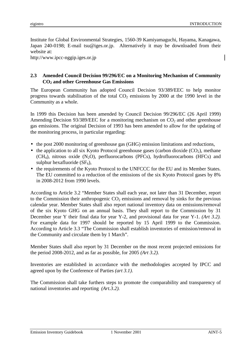Institute for Global Environmental Strategies, 1560-39 Kamiyamaguchi, Hayama, Kanagawa, Japan 240-0198; E-mail tsu@iges.or.jp. Alternatively it may be downloaded from their website at:

http://www.ipcc-nggip.iges.or.jp

#### **2.3 Amended Council Decision 99/296/EC on a Monitoring Mechanism of Community CO2 and other Greenhouse Gas Emissions**

The European Community has adopted Council Decision 93/389/EEC to help monitor progress towards stabilisation of the total  $CO<sub>2</sub>$  emissions by 2000 at the 1990 level in the Community as a whole.

In 1999 this Decision has been amended by Council Decision 99/296/EC (26 April 1999) Amending Decision 93/389/EEC for a monitoring mechanism on  $CO<sub>2</sub>$  and other greenhouse gas emissions. The original Decision of 1993 has been amended to allow for the updating of the monitoring process, in particular regarding:

- the post 2000 monitoring of greenhouse gas (GHG) emission limitations and reductions,
- the application to all six Kyoto Protocol greenhouse gases (carbon dioxide  $(CO<sub>2</sub>)$ ), methane  $(CH<sub>4</sub>)$ , nitrous oxide  $(N<sub>2</sub>O)$ , perfluorocarbons (PFCs), hydrofluorocarbons (HFCs) and sulphur hexafluoride  $(SF_6)$ ,
- the requirements of the Kyoto Protocol to the UNFCCC for the EU and its Member States. The EU committed to a reduction of the emissions of the six Kyoto Protocol gases by 8% in 2008-2012 from 1990 levels.

According to Article 3.2 "Member States shall each year, not later than 31 December, report to the Commission their anthropogenic  $CO<sub>2</sub>$  emissions and removal by sinks for the previous calendar year. Member States shall also report national inventory data on emissions/removal of the six Kyoto GHG on an annual basis. They shall report to the Commission by 31 December year Y their final data for year Y-2, and provisional data for year Y-1. *(Art 3.2).* For example data for 1997 should be reported by 15 April 1999 to the Commission. According to Article 3.3 "The Commission shall establish inventories of emission/removal in the Community and circulate them by 1 March".

Member States shall also report by 31 December on the most recent projected emissions for the period 2008-2012, and as far as possible, for 2005 *(Art 3.2)*.

Inventories are established in accordance with the methodologies accepted by IPCC and agreed upon by the Conference of Parties *(art 3.1)*.

The Commission shall take furthers steps to promote the comparability and transparency of national inventories and reporting *(Art.3.2).*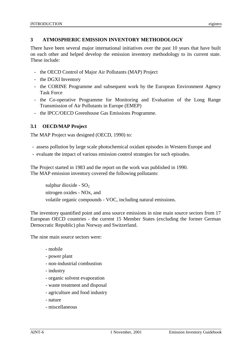#### **3 ATMOSPHERIC EMISSION INVENTORY METHODOLOGY**

There have been several major international initiatives over the past 10 years that have built on each other and helped develop the emission inventory methodology to its current state. These include:

- the OECD Control of Major Air Pollutants (MAP) Project
- the DGXI Inventory
- the CORINE Programme and subsequent work by the European Environment Agency Task Force
- the Co-operative Programme for Monitoring and Evaluation of the Long Range Transmission of Air Pollutants in Europe (EMEP)
- the IPCC/OECD Greenhouse Gas Emissions Programme.

#### **3.1 OECD/MAP Project**

The MAP Project was designed (OECD, 1990) to:

- assess pollution by large scale photochemical oxidant episodes in Western Europe and
- evaluate the impact of various emission control strategies for such episodes.

The Project started in 1983 and the report on the work was published in 1990. The MAP emission inventory covered the following pollutants:

sulphur dioxide -  $SO<sub>2</sub>$ nitrogen oxides - NOx, and volatile organic compounds - VOC, including natural emissions.

The inventory quantified point and area source emissions in nine main source sectors from 17 European OECD countries - the current 15 Member States (excluding the former German Democratic Republic) plus Norway and Switzerland.

The nine main source sectors were:

- mobile
- power plant
- non-industrial combustion
- industry
- organic solvent evaporation
- waste treatment and disposal
- agriculture and food industry
- nature
- miscellaneous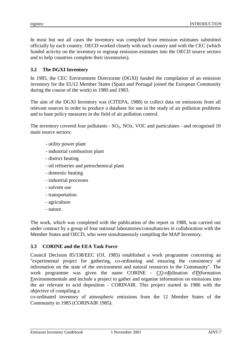In most but not all cases the inventory was compiled from emission estimates submitted officially by each country. OECD worked closely with each country and with the CEC (which funded activity on the inventory to regroup emission estimates into the OECD source sectors and to help countries complete their inventories).

#### **3.2 The DGXI Inventory**

In 1985, the CEC Environment Directorate (DGXI) funded the compilation of an emission inventory for the EU12 Member States (Spain and Portugal joined the European Community during the course of the work) in 1980 and 1983.

The aim of the DGXI Inventory was (CITEPA, 1988) to collect data on emissions from all relevant sources in order to produce a database for use in the study of air pollution problems and to base policy measures in the field of air pollution control.

The inventory covered four pollutants -  $SO_2$ , NOx, VOC and particulates - and recognised 10 main source sectors:

- utility power plant
- industrial combustion plant
- district heating
- oil refineries and petrochemical plant
- domestic heating
- industrial processes
- solvent use
- transportation
- agriculture
- nature.

The work, which was completed with the publication of the report in 1988, was carried out under contract by a group of four national laboratories/consultancies in collaboration with the Member States and OECD, who were simultaneously compiling the MAP Inventory.

#### **3.3 CORINE and the EEA Task Force**

Council Decision 85/338/EEC (OJ, 1985) established a work programme concerning an "experimental project for gathering, co-ordinating and ensuring the consistency of information on the state of the environment and natural resources in the Community". The work programme was given the name CORINE - CO-oRdination d'INformation Environnementale and include a project to gather and organise information on emissions into the air relevant to acid deposition - CORINAIR. This project started in 1986 with the objective of compiling a

co-ordinated inventory of atmospheric emissions from the 12 Member States of the Community in 1985 (CORINAIR 1985).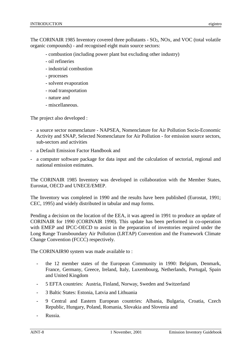The CORINAIR 1985 Inventory covered three pollutants  $-SO<sub>2</sub>$ , NOx, and VOC (total volatile organic compounds) - and recognised eight main source sectors:

- combustion (including power plant but excluding other industry)
- oil refineries
- industrial combustion
- processes
- solvent evaporation
- road transportation
- nature and
- miscellaneous.

The project also developed :

- a source sector nomenclature NAPSEA, Nomenclature for Air Pollution Socio-Economic Activity and SNAP, Selected Nomenclature for Air Pollution - for emission source sectors, sub-sectors and activities
- a Default Emission Factor Handbook and
- a computer software package for data input and the calculation of sectorial, regional and national emission estimates.

The CORINAIR 1985 Inventory was developed in collaboration with the Member States, Eurostat, OECD and UNECE/EMEP.

The Inventory was completed in 1990 and the results have been published (Eurostat, 1991; CEC, 1995) and widely distributed in tabular and map forms.

Pending a decision on the location of the EEA, it was agreed in 1991 to produce an update of CORINAIR for 1990 (CORINAIR 1990). This update has been performed in co-operation with EMEP and IPCC-OECD to assist in the preparation of inventories required under the Long Range Transboundary Air Pollution (LRTAP) Convention and the Framework Climate Change Convention (FCCC) respectively.

The CORINAIR90 system was made available to :

- the 12 member states of the European Community in 1990: Belgium, Denmark, France, Germany, Greece, Ireland, Italy, Luxembourg, Netherlands, Portugal, Spain and United Kingdom
- 5 EFTA countries: Austria, Finland, Norway, Sweden and Switzerland
- 3 Baltic States: Estonia, Latvia and Lithuania
- 9 Central and Eastern European countries: Albania, Bulgaria, Croatia, Czech Republic, Hungary, Poland, Romania, Slovakia and Slovenia and
- Russia.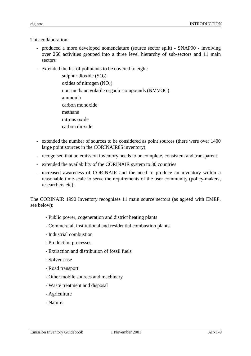This collaboration:

- produced a more developed nomenclature (source sector split) SNAP90 involving over 260 activities grouped into a three level hierarchy of sub-sectors and 11 main sectors
- extended the list of pollutants to be covered to eight:
	- sulphur dioxide  $(SO<sub>2</sub>)$ oxides of nitrogen  $(NO<sub>x</sub>)$  non-methane volatile organic compounds (NMVOC) ammonia carbon monoxide methane nitrous oxide carbon dioxide
- extended the number of sources to be considered as point sources (there were over 1400 large point sources in the CORINAIR85 inventory)
- recognised that an emission inventory needs to be complete, consistent and transparent
- extended the availability of the CORINAIR system to 30 countries
- increased awareness of CORINAIR and the need to produce an inventory within a reasonable time-scale to serve the requirements of the user community (policy-makers, researchers etc).

The CORINAIR 1990 Inventory recognises 11 main source sectors (as agreed with EMEP, see below):

- Public power, cogeneration and district heating plants
- Commercial, institutional and residential combustion plants
- Industrial combustion
- Production processes
- Extraction and distribution of fossil fuels
- Solvent use
- Road transport
- Other mobile sources and machinery
- Waste treatment and disposal
- Agriculture
- Nature.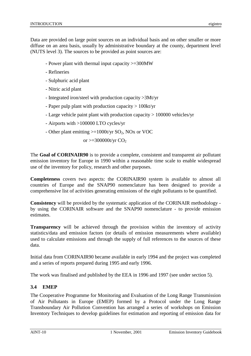Data are provided on large point sources on an individual basis and on other smaller or more diffuse on an area basis, usually by administrative boundary at the county, department level (NUTS level 3). The sources to be provided as point sources are:

- Power plant with thermal input capacity >=300MW
- Refineries
- Sulphuric acid plant
- Nitric acid plant
- Integrated iron/steel with production capacity >3Mt/yr
- Paper pulp plant with production capacity > 100kt/yr
- Large vehicle paint plant with production capacity > 100000 vehicles/yr
- Airports with >100000 LTO cycles/yr
- Other plant emitting  $>=1000t/yr$  SO<sub>2</sub>, NO<sub>x</sub> or VOC

or  $>=$  300000t/yr  $CO<sub>2</sub>$ 

The **Goal of CORINAIR90** is to provide a complete, consistent and transparent air pollutant emission inventory for Europe in 1990 within a reasonable time scale to enable widespread use of the inventory for policy, research and other purposes.

**Completeness** covers two aspects: the CORINAIR90 system is available to almost all countries of Europe and the SNAP90 nomenclature has been designed to provide a comprehensive list of activities generating emissions of the eight pollutants to be quantified.

**Consistency** will be provided by the systematic application of the CORINAIR methodology by using the CORINAIR software and the SNAP90 nomenclature - to provide emission estimates.

**Transparency** will be achieved through the provision within the inventory of activity statistics/data and emission factors (or details of emission measurements where available) used to calculate emissions and through the supply of full references to the sources of these data.

Initial data from CORINAIR90 became available in early 1994 and the project was completed and a series of reports prepared during 1995 and early 1996.

The work was finalised and published by the EEA in 1996 and 1997 (see under section 5).

#### **3.4 EMEP**

The Cooperative Programme for Monitoring and Evaluation of the Long Range Transmission of Air Pollutants in Europe (EMEP) formed by a Protocol under the Long Range Transboundary Air Pollution Convention has arranged a series of workshops on Emission Inventory Techniques to develop guidelines for estimation and reporting of emission data for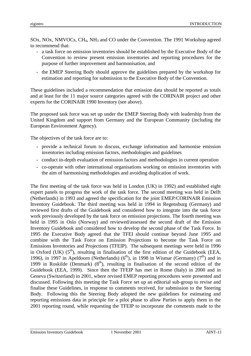SOx, NOx, NMVOCs, CH4, NH3 and CO under the Convention. The 1991 Workshop agreed to recommend that:

- a task force on emission inventories should be established by the Executive Body of the Convention to review present emission inventories and reporting procedures for the purpose of further improvement and harmonisation, and
- the EMEP Steering Body should approve the guidelines prepared by the workshop for estimation and reporting for submission to the Executive Body of the Convention.

These guidelines included a recommendation that emission data should be reported as totals and at least for the 11 major source categories agreed with the CORINAIR project and other experts for the CORINAIR 1990 Inventory (see above).

The proposed task force was set up under the EMEP Steering Body with leadership from the United Kingdom and support from Germany and the European Community (including the European Environment Agency).

The objectives of the task force are to:

- provide a technical forum to discuss, exchange information and harmonise emission inventories including emission factors, methodologies and guidelines
- conduct in-depth evaluation of emission factors and methodologies in current operation
- co-operate with other international organisations working on emission inventories with the aim of harmonising methodologies and avoiding duplication of work.

The first meeting of the task force was held in London (UK) in 1992) and established eight expert panels to progress the work of the task force. The second meeting was held in Delft (Netherlands) in 1993 and agreed the specification for the joint EMEP/CORINAIR Emission Inventory Guidebook. The third meeting was held in 1994 in Regensburg (Germany) and reviewed first drafts of the Guidebook and considered how to integrate into the task force work previously developed by the task force on emission projections. The fourth meeting was held in 1995 in Oslo (Norway) and reviewed/assessed the second draft of the Emission Inventory Guidebook and considered how to develop the second phase of the Task Force. In 1995 the Executive Body agreed that the TFEI should continue beyond June 1995 and combine with the Task Force on Emission Projections to become the Task Force on Emissions Inventories and Projections (TFEIP). The subsequent meetings were held in 1996 in Oxford (UK)  $(5<sup>th</sup>)$ , resulting in finalisation of the first edition of the Guidebook (EEA, 1996), in 1997 in Apeldoorn (Netherlands) ( $6<sup>th</sup>$ ), in 1998 in Wismar (Germany) ( $7<sup>th</sup>$ ) and in 1999 in Roskilde (Denmark)  $(8<sup>th</sup>)$ , resulting in finalisation of the second edition of the Guidebook (EEA, 1999). Since then the TFEIP has met in Rome (Italy) in 2000 and in Geneva (Switzerland) in 2001, where revised EMEP reporting procedures were presented and discussed. Following this meeting the Task Force set up an editorial sub-group to revise and finalise these Guidelines, in response to comments received, for submission to the Steering Body. Following this the Steering Body adopted the new guidelines for estimating and reporting emissions data in principle for a pilot phase to allow Parties to apply them in the 2001 reporting round, while requesting the TFEIP to incorporate the comments made to the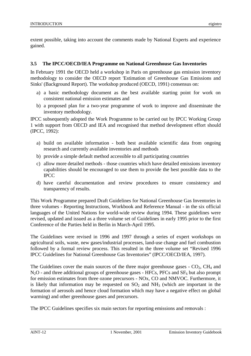extent possible, taking into account the comments made by National Experts and experience gained.

#### **3.5 The IPCC/OECD/IEA Programme on National Greenhouse Gas Inventories**

In February 1991 the OECD held a workshop in Paris on greenhouse gas emission inventory methodology to consider the OECD report 'Estimation of Greenhouse Gas Emissions and Sinks' (Background Report). The workshop produced (OECD, 1991) consensus on:

- a) a basic methodology document as the best available starting point for work on consistent national emission estimates and
- b) a proposed plan for a two-year programme of work to improve and disseminate the inventory methodology.

IPCC subsequently adopted the Work Programme to be carried out by IPCC Working Group 1 with support from OECD and IEA and recognised that method development effort should (IPCC, 1992):

- a) build on available information both best available scientific data from ongoing research and currently available inventories and methods
- b) provide a simple default method accessible to all participating countries
- c) allow more detailed methods those countries which have detailed emissions inventory capabilities should be encouraged to use them to provide the best possible data to the IPCC
- d) have careful documentation and review procedures to ensure consistency and transparency of results.

This Work Programme prepared Draft Guidelines for National Greenhouse Gas Inventories in three volumes - Reporting Instructions, Workbook and Reference Manual - in the six official languages of the United Nations for world-wide review during 1994. These guidelines were revised, updated and issued as a three volume set of Guidelines in early 1995 prior to the first Conference of the Parties held in Berlin in March-April 1995.

The Guidelines were revised in 1996 and 1997 through a series of expert workshops on agricultural soils, waste, new gases/industrial processes, land-use change and fuel combustion followed by a formal review process. This resulted in the three volume set "Revised 1996 IPCC Guidelines for National Greenhouse Gas Inventories" (IPCC/OECD/IEA, 1997).

The Guidelines cover the main sources of the three major greenhouse gases  $\sim CO_2$ , CH<sub>4</sub> and  $N_2O$  - and three additional groups of greenhouse gases - HFCs, PFCs and  $SF<sub>6</sub>$  but also prompt for emission estimates from three ozone precursors - NOx, CO and NMVOC. Furthermore, it is likely that information may be requested on  $SO_2$  and  $NH<sub>3</sub>$  (which are important in the formation of aerosols and hence cloud formation which may have a negative effect on global warming) and other greenhouse gases and precursors.

The IPCC Guidelines specifies six main sectors for reporting emissions and removals :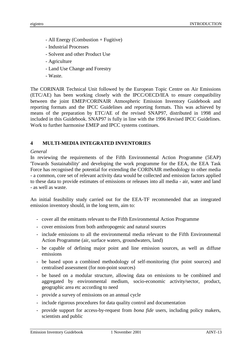- All Energy (Combustion + Fugitive)
- Industrial Processes
- Solvent and other Product Use
- Agriculture
- Land Use Change and Forestry
- Waste.

The CORINAIR Technical Unit followed by the European Topic Centre on Air Emissions (ETC/AE) has been working closely with the IPCC/OECD/IEA to ensure compatibility between the joint EMEP/CORINAIR Atmospheric Emission Inventory Guidebook and reporting formats and the IPCC Guidelines and reporting formats. This was achieved by means of the preparation by ETC/AE of the revised SNAP97, distributed in 1998 and included in this Guidebook. SNAP97 is fully in line with the 1996 Revised IPCC Guidelines. Work to further harmonise EMEP and IPCC systems continues.

#### **4 MULTI-MEDIA INTEGRATED INVENTORIES**

#### *General*

In reviewing the requirements of the Fifth Environmental Action Programme (5EAP) 'Towards Sustainability' and developing the work programme for the EEA, the EEA Task Force has recognised the potential for extending the CORINAIR methodology to other media - a common, core set of relevant activity data would be collected and emission factors applied to these data to provide estimates of emissions or releases into all media - air, water and land - as well as waste.

An initial feasibility study carried out for the EEA-TF recommended that an integrated emission inventory should, in the long term, aim to:

- cover all the emittants relevant to the Fifth Environmental Action Programme
- cover emissions from both anthropogenic and natural sources
- include emissions to all the environmental media relevant to the Fifth Environmental Action Programme (air, surface waters, groundwaters, land)
- be capable of defining major point and line emission sources, as well as diffuse emissions
- be based upon a combined methodology of self-monitoring (for point sources) and centralised assessment (for non-point sources)
- be based on a modular structure, allowing data on emissions to be combined and aggregated by environmental medium, socio-economic activity/sector, product, geographic area etc according to need
- provide a survey of emissions on an annual cycle
- include rigorous procedures for data quality control and documentation
- provide support for access-by-request from *bona fide* users, including policy makers, scientists and public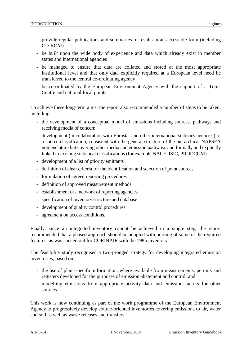- provide regular publications and summaries of results in an accessible form (including CD-ROM)
- be built upon the wide body of experience and data which already exist in member states and international agencies
- be managed to ensure that data are collated and stored at the most appropriate institutional level and that only data explicitly required at a European level need be transferred to the central co-ordinating agency
- be co-ordinated by the European Environment Agency with the support of a Topic Centre and national focal points.

To achieve these long-term aims, the report also recommended a number of steps to be taken, including

- the development of a conceptual model of emissions including sources, pathways and receiving media of concern
- development (in collaboration with Eurostat and other international statistics agencies) of a source classification, consistent with the general structure of the hierarchical NAPSEA nomenclature but covering other media and emission pathways and formally and explicitly linked to existing statistical classifications (for example NACE, ISIC, PRODCOM)
- development of a list of priority emittants
- definition of clear criteria for the identification and selection of point sources
- formulation of agreed reporting procedures
- definition of approved measurement methods
- establishment of a network of reporting agencies
- specification of inventory structure and database
- development of quality control procedures
- agreement on access conditions.

Finally, since an integrated inventory cannot be achieved in a single step, the report recommended that a phased approach should be adopted with piloting of some of the required features, as was carried out for CORINAIR with the 1985 inventory.

The feasibility study recognised a two-pronged strategy for developing integrated emission inventories, based on:

- the use of plant-specific information, where available from measurements, permits and registers developed for the purposes of emission abatement and control, and
- modelling emissions from appropriate activity data and emission factors for other sources.

This work is now continuing as part of the work programme of the European Environment Agency to progressively develop source-oriented inventories covering emissions to air, water and soil as well as waste releases and transfers.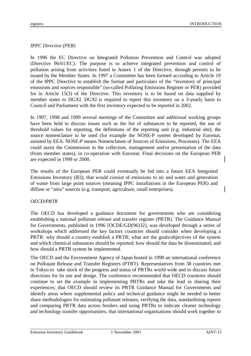#### *IPPC Directive (PER)*

In 1996 the EC Directive on Integrated Pollution Prevention and Control was adopted (Directive 96/61/EC). The purpose is to achieve integrated prevention and control of pollution arising from activities listed in Annex 1 of the Directive, through permits to be issued by the Member States. In 1997 a Committee has been formed according to Article 19 of the IPPC Directive to establish the format and particulars of the "inventory of principal emissions and sources responsible" (so-called Polluting Emissions Register or PER) provided for in Article 15(3) of the Directive. This inventory is to be based on data supplied by member states to DGXI. DGXI is required to report this inventory on a 3-yearly basis to Council and Parliament with the first inventory expected to be reported in 2002.

In 1997, 1998 and 1999 several meetings of the Committee and additional working groups have been held to discuss issues such as the list of substances to be reported, the use of threshold values for reporting, the definitions of the reporting unit (e.g. industrial site), the source nomenclature to be used (for example the NOSE-P system developed by Eurostat, assisted by EEA. NOSE-P means Nomenclature of Sources of Emissions, Processes). The EEA could assist the Commission in the collection, management and/or presentation of the data (from member states), in co-operation with Eurostat. Final decisions on the European PER are expected in 1999 or 2000.

The results of the European PER could eventually be fed into a future EEA Integrated Emissions Inventory (IEI), that would consist of emissions to air and water and generation of waste from large point sources (meaning IPPC installations in the European PER) and diffuse or "area" sources (e.g. transport, agriculture, small enterprises).

#### *OECD/PRTR*

The OECD has developed a guidance document for governments who are considering establishing a national pollutant release and transfer register (PRTR). The Guidance Manual for Governments, published in 1996 [OCDE/GD(96)32], was developed through a series of workshops which addressed the key factors countries should consider when developing a PRTR: why should a country establish a PRTR; what are the goals/objectives of the system and which chemical substances should be reported; how should the data be disseminated; and how should a PRTR system be implemented.

The OECD and the Environment Agency of Japan hosted in 1998 an international conference on Pollutant Release and Transfer Registers (PTRT). Representatives from 38 countries met in Tokyo to take stock of the progress and status of PRTRs world-wide and to discuss future directions for its use and design. The conference recommended that OECD countries should continue to set the example in implementing PRTRs and take the lead in sharing their experiences; that OECD should review its PRTR Guidance Manual for Governments and identify areas where supplemental policy and technical guidance might be needed to better share methodologies for estimating pollutant releases, verifying the data, standardising reports and comparing PRTR data across borders and using PRTRs to indicate cleaner technology and technology transfer opportunities; that international organisations should work together to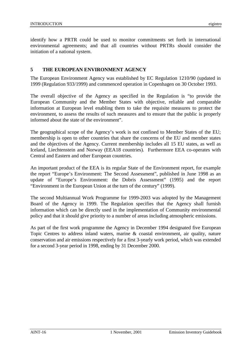identify how a PRTR could be used to monitor commitments set forth in international environmental agreements; and that all countries without PRTRs should consider the initiation of a national system.

#### **5 THE EUROPEAN ENVIRONMENT AGENCY**

The European Environment Agency was established by EC Regulation 1210/90 (updated in 1999 (Regulation 933/1999) and commenced operation in Copenhagen on 30 October 1993.

The overall objective of the Agency as specified in the Regulation is "to provide the European Community and the Member States with objective, reliable and comparable information at European level enabling them to take the requisite measures to protect the environment, to assess the results of such measures and to ensure that the public is properly informed about the state of the environment".

The geographical scope of the Agency's work is not confined to Member States of the EU; membership is open to other countries that share the concerns of the EU and member states and the objectives of the Agency. Current membership includes all 15 EU states, as well as Iceland, Liechtenstein and Norway (EEA18 countries). Furthermore EEA co-operates with Central and Eastern and other European countries.

An important product of the EEA is its regular State of the Environment report, for example the report "Europe's Environment: The Second Assessment", published in June 1998 as an update of "Europe's Environment: the Dobris Assessment" (1995) and the report "Environment in the European Union at the turn of the century" (1999).

The second Multiannual Work Programme for 1999-2003 was adopted by the Management Board of the Agency in 1999. The Regulation specifies that the Agency shall furnish information which can be directly used in the implementation of Community environmental policy and that it should give priority to a number of areas including atmospheric emissions.

As part of the first work programme the Agency in December 1994 designated five European Topic Centres to address inland waters, marine & coastal environment, air quality, nature conservation and air emissions respectively for a first 3-yearly work period, which was extended for a second 3-year period in 1998, ending by 31 December 2000.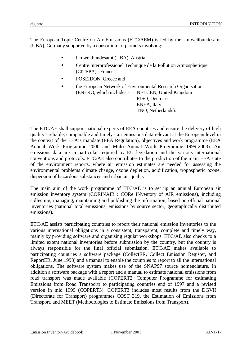The European Topic Centre on Air Emissions (ETC/AEM) is led by the Umweltbundesamt (UBA), Germany supported by a consortium of partners involving:

- Umweltbundesamt (UBA), Austria
- Centre Interprofessionel Technique de la Pollution Atmospherique (CITEPA), France
- POSEIDON, Greece and
- the European Network of Environmental Research Organisations (ENERO, which includes - NETCEN, United Kingdom RISO, Denmark ENEA, Italy TNO, Netherlands).

The ETC/AE shall support national experts of EEA countries and ensure the delivery of high quality - reliable, comparable and timely - air emissions data relevant at the European level in the context of the EEA's mandate (EEA Regulation), objectives and work programme (EEA Annual Work Programme 2000 and Multi Annual Work Programme 1999-2003). Air emissions data are in particular required by EU legislation and the various international conventions and protocols. ETC/AE also contributes to the production of the main EEA state of the environment reports, where air emission estimates are needed for assessing the environmental problems climate change, ozone depletion, acidification, tropospheric ozone, dispersion of hazardous substances and urban air quality.

The main aim of the work programme of ETC/AE is to set up an annual European air emission inventory system (CORINAIR : CORe INventory of AIR emissions), including collecting, managing, maintaining and publishing the information, based on official national inventories (national total emissions, emissions by source sector, geographically distributed emissions).

ETC/AE assists participating countries to report their national emission inventories to the various international obligations in a consistent, transparent, complete and timely way, mainly by providing software and organising regular workshops. ETC/AE also checks to a limited extent national inventories before submission by the country, but the country is always responsible for the final official submission. ETC/AE makes available to participating countries a software package (CollectER, Collect Emission Register, and ReportER, June 1998) and a manual to enable the countries to report to all the international obligations. The software system makes use of the SNAP97 source nomenclature. In addition a software package with a report and a manual to estimate national emissions from road transport was made available (COPERT2, Computer Programme for estimating Emissions from Road Transport) to participating countries end of 1997 and a revised version in mid 1999 (COPERT3). COPERT3 includes most results from the DGVII (Directorate for Transport) programmes COST 319, the Estimation of Emissions from Transport, and MEET (Methodologies to Estimate Emissions from Transport).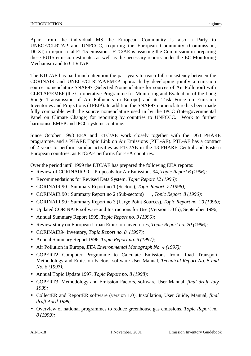Apart from the individual MS the European Community is also a Party to UNECE/CLRTAP and UNFCCC, requiring the European Community (Commission, DGXI) to report total EU15 emissions. ETC/AE is assisting the Commission in preparing these EU15 emission estimates as well as the necessary reports under the EC Monitoring Mechanism and to CLRTAP.

The ETC/AE has paid much attention the past years to reach full consistency between the CORINAIR and UNECE/CLRTAP/EMEP approach by developing jointly a emission source nomenclature SNAP97 (Selected Nomenclature for sources of Air Pollution) with CLRTAP/EMEP (the Co-operative Programme for Monitoring and Evaluation of the Long Range Transmission of Air Pollutants in Europe) and its Task Force on Emission Inventories and Projections (TFEIP). In addition the SNAP97 nomenclature has been made fully compatible with the source nomenclature used in by the IPCC (Intergovernmental Panel on Climate Change) for reporting by countries to UNFCCC. Work to further harmonise EMEP and IPCC systems continue.

Since October 1998 EEA and ETC/AE work closely together with the DGI PHARE programme, and a PHARE Topic Link on Air Emissions (PTL-AE). PTL-AE has a contract of 2 years to perform similar activities as ETC/AE in the 13 PHARE Central and Eastern European countries, as ETC/AE performs for EEA countries.

Over the period until 1999 the ETC/AE has prepared the following EEA reports:

- Review of CORINAIR 90 Proposals for Air Emissions 94, *Topic Report 6 (1996);*
- Recommendations for Revised Data System, *Topic Report 12 (1996);*
- CORINAIR 90 : Summary Report no 1 (Sectors), *Topic Report 7 (1996);*
- CORINAIR 90 : Summary Report no 2 (Sub-sectors) , *Topic Report 8 (1996);*
- CORINAIR 90 : Summary Report no 3 (Large Point Sources), *Topic Report no. 20 (1996);*
- Updated CORINAIR software and Instructions for Use (Version 1.01b), September 1996;
- Annual Summary Report 1995, *Topic Report no. 9 (1996);*
- Review study on European Urban Emission Inventories, *Topic Report no. 20 (1996);*
- CORINAIR94 inventory, *Topic Report no. 8 (1997);*
- Annual Summary Report 1996, *Topic Report no. 6 (1997);*
- Air Pollution in Europe, *EEA Environmental Monograph No. 4 (1997);*
- COPERT2 Computer Programme to Calculate Emissions from Road Transport, Methodology and Emission Factors, software User Manual, *Technical Report No. 5 and No. 6 (1997);*
- Annual Topic Update 1997, *Topic Report no. 8 (1998);*
- COPERT3, Methodology and Emission Factors, software User Manual, *final draft July 1999;*
- CollectER and ReportER software (version 1.0), Installation, User Guide, Manual, *final draft April 1999;*
- Overview of national programmes to reduce greenhouse gas emissions, *Topic Report no. 8 (1999);*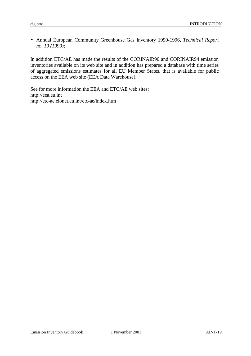• Annual European Community Greenhouse Gas Inventory 1990-1996, *Technical Report no. 19 (1999);*

In addition ETC/AE has made the results of the CORINAIR90 and CORINAIR94 emission inventories available on its web site and in addition has prepared a database with time series of aggregated emissions estimates for all EU Member States, that is available for public access on the EEA web site (EEA Data Warehouse).

See for more information the EEA and ETC/AE web sites: http://eea.eu.int http://etc-ae.eionet.eu.int/etc-ae/index.htm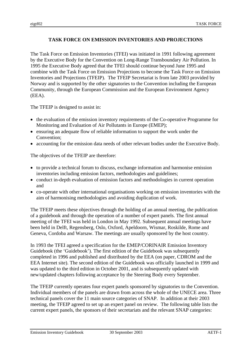#### **TASK FORCE ON EMISSION INVENTORIES AND PROJECTIONS**

The Task Force on Emission Inventories (TFEI) was initiated in 1991 following agreement by the Executive Body for the Convention on Long-Range Transboundary Air Pollution. In 1995 the Executive Body agreed that the TFEI should continue beyond June 1995 and combine with the Task Force on Emission Projections to become the Task Force on Emission Inventories and Projections (TFEIP). The TFEIP Secretariat is from late 2003 provided by Norway and is supported by the other signatories to the Convention including the European Community, through the European Commission and the European Environment Agency (EEA).

The TFEIP is designed to assist in:

- the evaluation of the emission inventory requirements of the Co-operative Programme for Monitoring and Evaluation of Air Pollutants in Europe (EMEP);
- ensuring an adequate flow of reliable information to support the work under the Convention;
- accounting for the emission data needs of other relevant bodies under the Executive Body.

The objectives of the TFEIP are therefore:

- to provide a technical forum to discuss, exchange information and harmonise emission inventories including emission factors, methodologies and guidelines;
- conduct in-depth evaluation of emission factors and methodologies in current operation and
- co-operate with other international organisations working on emission inventories with the aim of harmonising methodologies and avoiding duplication of work.

The TFEIP meets these objectives through the holding of an annual meeting, the publication of a guidebook and through the operation of a number of expert panels. The first annual meeting of the TFEI was held in London in May 1992. Subsequent annual meetings have been held in Delft, Regensberg, Oslo, Oxford, Apeldoorn, Wismar, Roskilde, Rome and Geneva, Cordoba and Warsaw. The meetings are usually sponsored by the host country.

In 1993 the TFEI agreed a specification for the EMEP/CORINAIR Emission Inventory Guidebook (the 'Guidebook'). The first edition of the Guidebook was subsequently completed in 1996 and published and distributed by the EEA (on paper, CDROM and the EEA Internet site). The second edition of the Guidebook was officially launched in 1999 and was updated to the third edition in October 2001, and is subsequently updated with new/updated chapters following acceptance by the Steering Body every September.

The TFEIP currently operates four expert panels sponsored by signatories to the Convention. Individual members of the panels are drawn from across the whole of the UNECE area. Three technical panels cover the 11 main source categories of SNAP. In addition at their 2003 meeting, the TFEIP agreed to set up an expert panel on review. The following table lists the current expert panels, the sponsors of their secretariats and the relevant SNAP categories:

Emission Inventory Guidebook 30 September 2003 AETF-1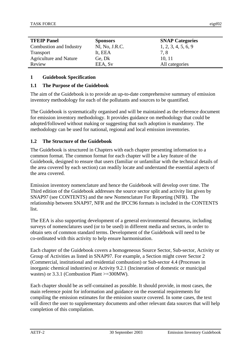| <b>TFEIP Panel</b>            | <b>Sponsors</b> | <b>SNAP Categories</b> |
|-------------------------------|-----------------|------------------------|
|                               |                 |                        |
| Combustion and Industry       | Nl, No, J.R.C.  | 1, 2, 3, 4, 5, 6, 9    |
| Transport                     | It, EEA         | 7.8                    |
| <b>Agriculture and Nature</b> | Ge, Dk          | 10, 11                 |
| Review                        | EEA, Sv         | All categories         |

#### **1 Guidebook Specification**

#### **1.1 The Purpose of the Guidebook**

The aim of the Guidebook is to provide an up-to-date comprehensive summary of emission inventory methodology for each of the pollutants and sources to be quantified.

The Guidebook is systematically organised and will be maintained as the reference document for emission inventory methodology. It provides guidance on methodology that could be adopted/followed without making or suggesting that such adoption is mandatory. The methodology can be used for national, regional and local emission inventories.

#### **1.2 The Structure of the Guidebook**

The Guidebook is structured in Chapters with each chapter presenting information to a common format. The common format for each chapter will be a key feature of the Guidebook, designed to ensure that users (familiar or unfamiliar with the technical details of the area covered by each section) can readily locate and understand the essential aspects of the area covered.

Emission inventory nomenclature and hence the Guidebook will develop over time. The Third edition of the Guidebook addresses the source sector split and activity list given by SNAP97 (see CONTENTS) and the new Nomenclature For Reporting (NFR). The relationship between SNAP97, NFR and the IPCC96 formats is included in the CONTENTS list.

The EEA is also supporting development of a general environmental thesaurus, including surveys of nomenclatures used (or to be used) in different media and sectors, in order to obtain sets of common standard terms. Development of the Guidebook will need to be co-ordinated with this activity to help ensure harmonisation.

Each chapter of the Guidebook covers a homogeneous Source Sector, Sub-sector, Activity or Group of Activities as listed in SNAP97. For example, a Section might cover Sector 2 (Commercial, institutional and residential combustion) or Sub-sector 4.4 (Processes in inorganic chemical industries) or Activity 9.2.1 (Incineration of domestic or municipal wastes) or 3.3.1 (Combustion Plant >=300MW).

Each chapter should be as self-contained as possible. It should provide, in most cases, the main reference point for information and guidance on the essential requirements for compiling the emission estimates for the emission source covered. In some cases, the text will direct the user to supplementary documents and other relevant data sources that will help completion of this compilation.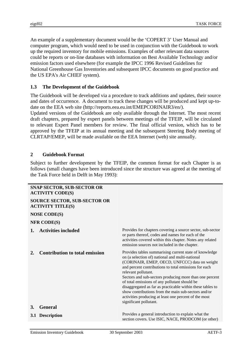An example of a supplementary document would be the 'COPERT 3' User Manual and computer program, which would need to be used in conjunction with the Guidebook to work up the required inventory for mobile emissions. Examples of other relevant data sources could be reports or on-line databases with information on Best Available Technology and/or emission factors used elsewhere (for example the IPCC 1996 Revised Guidelines for National Greenhouse Gas Inventories and subsequent IPCC documents on good practice and the US EPA's Air CHIEF system).

#### **1.3 The Development of the Guidebook**

The Guidebook will be developed via a procedure to track additions and updates, their source and dates of occurrence. A document to track these changes will be produced and kept up-todate on the EEA web site (http://reports.eea.eu.int/EMEPCORINAIR3/en/).

Updated versions of the Guidebook are only available through the Internet. The most recent draft chapters, prepared by expert panels between meetings of the TFEIP, will be circulated to relevant Expert Panel members for review. The final official version, which has to be approved by the TFEIP at its annual meeting and the subsequent Steering Body meeting of CLRTAP/EMEP, will be made available on the EEA Internet (web) site annually.

#### **2 Guidebook Format**

Subject to further development by the TFEIP, the common format for each Chapter is as follows (small changes have been introduced since the structure was agreed at the meeting of the Task Force held in Delft in May 1993):

|                                                                 | <b>SNAP SECTOR, SUB-SECTOR OR</b><br><b>ACTIVITY CODE(S)</b> |                                                                                                                                                                                                                                                                                                                                                                                                                                                                                                                                                                |
|-----------------------------------------------------------------|--------------------------------------------------------------|----------------------------------------------------------------------------------------------------------------------------------------------------------------------------------------------------------------------------------------------------------------------------------------------------------------------------------------------------------------------------------------------------------------------------------------------------------------------------------------------------------------------------------------------------------------|
| <b>SOURCE SECTOR, SUB-SECTOR OR</b><br><b>ACTIVITY TITLE(S)</b> |                                                              |                                                                                                                                                                                                                                                                                                                                                                                                                                                                                                                                                                |
|                                                                 | <b>NOSE CODE(S)</b>                                          |                                                                                                                                                                                                                                                                                                                                                                                                                                                                                                                                                                |
|                                                                 | <b>NFR CODE(S)</b>                                           |                                                                                                                                                                                                                                                                                                                                                                                                                                                                                                                                                                |
| 1.                                                              | <b>Activities included</b>                                   | Provides for chapters covering a source sector, sub-sector<br>or parts thereof, codes and names for each of the<br>activities covered within this chapter. Notes any related<br>emission sources not included in the chapter.                                                                                                                                                                                                                                                                                                                                  |
|                                                                 | <b>Contribution to total emission</b>                        | Provides tables summarising current state of knowledge<br>on (a selection of) national and multi-national<br>(CORINAIR, EMEP, OECD, UNFCCC) data on weight<br>and percent contributions to total emissions for each<br>relevant pollutant.<br>Sectors and sub-sectors producing more than one percent<br>of total emissions of any pollutant should be<br>disaggregated as far as practicable within these tables to<br>show contributions from the main sub-sectors and/or<br>activities producing at least one percent of the most<br>significant pollutant. |
| 3.                                                              | <b>General</b>                                               |                                                                                                                                                                                                                                                                                                                                                                                                                                                                                                                                                                |
|                                                                 | 3.1 Description                                              | Provides a general introduction to explain what the<br>section covers. Use ISIC, NACE, PRODCOM (or other)                                                                                                                                                                                                                                                                                                                                                                                                                                                      |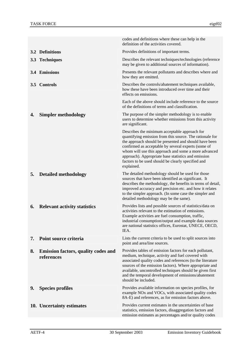|    |                                                          | codes and definitions where these can help in the<br>definition of the activities covered.                                                                                                                                                                                                                                                                                                                   |
|----|----------------------------------------------------------|--------------------------------------------------------------------------------------------------------------------------------------------------------------------------------------------------------------------------------------------------------------------------------------------------------------------------------------------------------------------------------------------------------------|
|    | 3.2 Definitions                                          | Provides definitions of important terms.                                                                                                                                                                                                                                                                                                                                                                     |
|    | 3.3 Techniques                                           | Describes the relevant techniques/technologies (reference<br>may be given to additional sources of information).                                                                                                                                                                                                                                                                                             |
|    | 3.4 Emissions                                            | Presents the relevant pollutants and describes where and<br>how they are emitted.                                                                                                                                                                                                                                                                                                                            |
|    | 3.5 Controls                                             | Describes the controls/abatement techniques available,<br>how these have been introduced over time and their<br>effects on emissions.                                                                                                                                                                                                                                                                        |
|    |                                                          | Each of the above should include reference to the source<br>of the definitions of terms and classification.                                                                                                                                                                                                                                                                                                  |
| 4. | <b>Simpler methodology</b>                               | The purpose of the simpler methodology is to enable<br>users to determine whether emissions from this activity<br>are significant.                                                                                                                                                                                                                                                                           |
|    |                                                          | Describes the minimum acceptable approach for<br>quantifying emission from this source. The rationale for<br>the approach should be presented and should have been<br>confirmed as acceptable by several experts (some of<br>whom will use this approach and some a more advanced<br>approach). Appropriate base statistics and emission<br>factors to be used should be clearly specified and<br>explained. |
| 5. | <b>Detailed methodology</b>                              | The detailed methodology should be used for those<br>sources that have been identified as significant. It<br>describes the methodology, the benefits in terms of detail,<br>improved accuracy and precision etc. and how it relates<br>to the simpler approach. (In some case the simpler and<br>detailed methodology may be the same).                                                                      |
| 6. | <b>Relevant activity statistics</b>                      | Provides lists and possible sources of statistics/data on<br>activities relevant to the estimation of emissions.<br>Example activities are fuel consumption, traffic,<br>industrial consumption/output and example data sources<br>are national statistics offices, Eurostat, UNECE, OECD,<br>IEA.                                                                                                           |
| 7. | Point source criteria                                    | Lists the current criteria to be used to split sources into<br>point and area/line sources.                                                                                                                                                                                                                                                                                                                  |
| 8. | <b>Emission factors, quality codes and</b><br>references | Provides tables of emission factors for each pollutant,<br>medium, technique, activity and fuel covered with<br>associated quality codes and references (to the literature<br>sources of the emission factors). Where appropriate and<br>available, uncontrolled techniques should be given first<br>and the temporal development of emissions/abatement<br>should be included.                              |
| 9. | <b>Species profiles</b>                                  | Provides available information on species profiles, for<br>example NO <sub>x</sub> and VOC <sub>s</sub> , with associated quality codes<br>8A-E) and references, as for emission factors above.                                                                                                                                                                                                              |
|    | 10. Uncertainty estimates                                | Provides current estimates in the uncertainties of base<br>statistics, emission factors, disaggregation factors and<br>emission estimates as percentages and/or quality codes                                                                                                                                                                                                                                |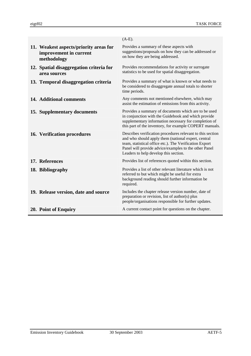|                                                                                 | $(A-E).$                                                                                                                                                                                                                                                                       |
|---------------------------------------------------------------------------------|--------------------------------------------------------------------------------------------------------------------------------------------------------------------------------------------------------------------------------------------------------------------------------|
| 11. Weakest aspects/priority areas for<br>improvement in current<br>methodology | Provides a summary of these aspects with<br>suggestions/proposals on how they can be addressed or<br>on how they are being addressed.                                                                                                                                          |
| 12. Spatial disaggregation criteria for<br>area sources                         | Provides recommendations for activity or surrogate<br>statistics to be used for spatial disaggregation.                                                                                                                                                                        |
| 13. Temporal disaggregation criteria                                            | Provides a summary of what is known or what needs to<br>be considered to disaggregate annual totals to shorter<br>time periods.                                                                                                                                                |
| <b>14. Additional comments</b>                                                  | Any comments not mentioned elsewhere, which may<br>assist the estimation of emissions from this activity.                                                                                                                                                                      |
| 15. Supplementary documents                                                     | Provides a summary of documents which are to be used<br>in conjunction with the Guidebook and which provide<br>supplementary information necessary for completion of<br>this part of the inventory, for example COPERT manuals.                                                |
| 16. Verification procedures                                                     | Describes verification procedures relevant to this section<br>and who should apply them (national expert, central<br>team, statistical office etc.). The Verification Export<br>Panel will provide advice/examples to the other Panel<br>Leaders to help develop this section. |
| 17. References                                                                  | Provides list of references quoted within this section.                                                                                                                                                                                                                        |
| 18. Bibliography                                                                | Provides a list of other relevant literature which is not<br>referred to but which might be useful for extra<br>background reading should further information be<br>required.                                                                                                  |
| 19. Release version, date and source                                            | Includes the chapter release version number, date of<br>preparation or revision, list of author(s) plus<br>people/organisations responsible for further updates.                                                                                                               |
| 20. Point of Enquiry                                                            | A current contact point for questions on the chapter.                                                                                                                                                                                                                          |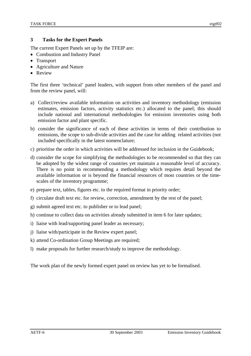#### **3 Tasks for the Expert Panels**

The current Expert Panels set up by the TFEIP are:

- Combustion and Industry Panel
- Transport
- Agriculture and Nature
- Review

The first three 'technical' panel leaders, with support from other members of the panel and from the review panel, will:

- a) Collect/review available information on activities and inventory methodology (emission estimates, emission factors, activity statistics etc.) allocated to the panel; this should include national and international methodologies for emission inventories using both emission factor and plant specific.
- b) consider the significance of each of these activities in terms of their contribution to emissions, the scope to sub-divide activities and the case for adding related activities (not included specifically in the latest nomenclature;
- c) prioritise the order in which activities will be addressed for inclusion in the Guidebook;
- d) consider the scope for simplifying the methodologies to be recommended so that they can be adopted by the widest range of countries yet maintain a reasonable level of accuracy. There is no point in recommending a methodology which requires detail beyond the available information or is beyond the financial resources of most countries or the timescales of the inventory programme;
- e) prepare text, tables, figures etc. to the required format in priority order;
- f) circulate draft text etc. for review, correction, amendment by the rest of the panel;
- g) submit agreed text etc. to publisher or to lead panel;
- h) continue to collect data on activities already submitted in item 6 for later updates;
- i) liaise with lead/supporting panel leader as necessary;
- j) liaise with/participate in the Review expert panel;
- k) attend Co-ordination Group Meetings are required;
- l) make proposals for further research/study to improve the methodology.

The work plan of the newly formed expert panel on review has yet to be formalised.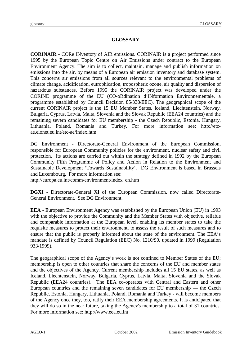#### **GLOSSARY**

**CORINAIR** - CORe INventory of AIR emissions. CORINAIR is a project performed since 1995 by the European Topic Centre on Air Emissions under contract to the European Environment Agency. The aim is to collect, maintain, manage and publish information on emissions into the air, by means of a European air emission inventory and database system. This concerns air emissions from all sources relevant to the environmental problems of climate change, acidification, eutrophication, tropospheric ozone, air quality and dispersion of hazardous substances. Before 1995 the CORINAIR project was developed under the CORINE programme of the EU (CO-oRdination d'INformation Environnementale, a programme established by Council Decision 85/338/EEC). The geographical scope of the current CORINAIR project is the 15 EU Member States, Iceland, Liechtenstein, Norway, Bulgaria, Cyprus, Latvia, Malta, Slovenia and the Slovak Republic (EEA24 countries) and the remaining severn candidates for EU membership - the Czech Republic, Estonia, Hungary, Lithuania, Poland, Romania and Turkey. For more information see: http://etcae.eionet.eu.int/etc-ae/index.htm

DG Environment - Directorate-General Environment of the European Commission, responsible for European Community policies for the environment, nuclear safety and civil protection. Its actions are carried out within the strategy defined in 1992 by the European Community Fifth Programme of Policy and Action in Relation to the Environment and Sustainable Development 'Towards Sustainability'. DG Environment is based in Brussels and Luxembourg. For more information see:

http://europa.eu.int/comm/environment/index\_en.htm

**DGXI** - Directorate-General XI of the European Commission, now called Directorate-General Environment. See DG Environment.

**EEA** - European Environment Agency was established by the European Union (EU) in 1993 with the objective to provide the Community and the Member States with objective, reliable and comparable information at the European level, enabling its member states to take the requisite measures to protect their environment, to assess the result of such measures and to ensure that the public is properly informed about the state of the environment. The EEA's mandate is defined by Council Regulation (EEC) No. 1210/90, updated in 1999 (Regulation 933/1999).

The geographical scope of the Agency's work is not confined to Member States of the EU; membership is open to other countries that share the concerns of the EU and member states and the objectives of the Agency. Current membership includes all 15 EU states, as well as Iceland, Liechtenstein, Norway, Bulgaria, Cyprus, Latvia, Malta, Slovenia and the Slovak Republic (EEA24 countries). The EEA co-operates with Central and Eastern and other European countries and the remaining seven candidates for EU membership — the Czech Republic, Estonia, Hungary, Lithuania, Poland, Romania and Turkey - will become members of the Agency once they, too, ratify their EEA membership agreements. It is anticipated that they will do so in the near future, taking the Agency's membership to a total of 31 countries. For more information see: http://www.eea.eu.int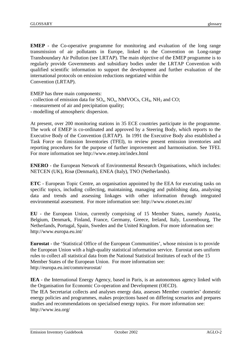**EMEP** - the Co-operative programme for monitoring and evaluation of the long range transmission of air pollutants in Europe, linked to the Convention on Long-range Transboundary Air Pollution (see LRTAP). The main objective of the EMEP programme is to regularly provide Governments and subsidiary bodies under the LRTAP Convention with qualified scientific information to support the development and further evaluation of the international protocols on emission reductions negotiated within the Convention (LRTAP).

EMEP has three main components:

- collection of emission data for  $SO_x$ ,  $NO_x$ , NMVOCs,  $CH_4$ , NH<sub>3</sub> and CO;
- measurement of air and precipitation quality;
- modelling of atmospheric dispersion.

At present, over 200 monitoring stations in 35 ECE countries participate in the programme. The work of EMEP is co-ordinated and approved by a Steering Body, which reports to the Executive Body of the Convention (LRTAP). In 1991 the Executive Body also established a Task Force on Emission Inventories (TFEI), to review present emission inventories and reporting procedures for the purpose of further improvement and harmonisation. See TFEI. For more information see http://www.emep.int/index.html

**ENERO** - the European Network of Environmental Research Organisations, which includes: NETCEN (UK), Risø (Denmark), ENEA (Italy), TNO (Netherlands).

**ETC** - European Topic Centre, an organisation appointed by the EEA for executing tasks on specific topics, including collecting, maintaining, managing and publishing data, analysing data and trends and assessing linkages with other information through integrated environmental assessment. For more information see: http://www.eionet.eu.int/

**EU** - the European Union, currently comprising of 15 Member States, namely Austria, Belgium, Denmark, Finland, France, Germany, Greece, Ireland, Italy, Luxembourg, The Netherlands, Portugal, Spain, Sweden and the United Kingdom. For more information see: http://www.europa.eu.int/

**Eurostat** - the 'Statistical Office of the European Communities', whose mission is to provide the European Union with a high-quality statistical information service. Eurostat uses uniform rules to collect all statistical data from the National Statistical Institutes of each of the 15 Member States of the European Union. For more information see: http://europa.eu.int/comm/eurostat/

**IEA** - the International Energy Agency, based in Paris, is an autonomous agency linked with the Organisation for Economic Co-operation and Development (OECD).

The IEA Secretariat collects and analyses energy data, assesses Member countries' domestic energy policies and programmes, makes projections based on differing scenarios and prepares studies and recommendations on specialised energy topics. For more information see: http://www.iea.org/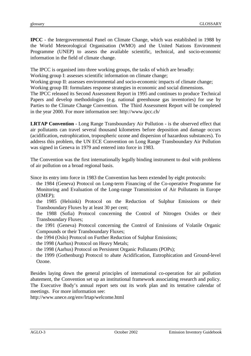**IPCC** - the Intergovernmental Panel on Climate Change, which was established in 1988 by the World Meteorological Organisation (WMO) and the United Nations Environment Programme (UNEP) to assess the available scientific, technical, and socio-economic information in the field of climate change.

The IPCC is organised into three working groups, the tasks of which are broadly:

Working group I: assesses scientific information on climate change;

Working group II: assesses environmental and socio-economic impacts of climate change;

Working group III: formulates response strategies in economic and social dimensions.

The IPCC released its Second Assessment Report in 1995 and continues to produce Technical Papers and develop methodologies (e.g. national greenhouse gas inventories) for use by Parties to the Climate Change Convention. The Third Assessment Report will be completed in the year 2000. For more information see: http://www.ipcc.ch/

**LRTAP Convention** - Long Range Transboundary Air Pollution - is the observed effect that air pollutants can travel several thousand kilometres before deposition and damage occurs (acidification, eutrophication, tropospheric ozone and dispersion of hazardous substances). To address this problem, the UN ECE Convention on Long Range Transboundary Air Pollution was signed in Geneva in 1979 and entered into force in 1983.

The Convention was the first internationally legally binding instrument to deal with problems of air pollution on a broad regional basis.

Since its entry into force in 1983 the Convention has been extended by eight protocols:

- <sup>−</sup> the 1984 (Geneva) Protocol on Long-term Financing of the Co-operative Programme for Monitoring and Evaluation of the Long-range Transmission of Air Pollutants in Europe (EMEP);
- <sup>−</sup> the 1985 (Helsinki) Protocol on the Reduction of Sulphur Emissions or their Transboundary Fluxes by at least 30 per cent;
- <sup>−</sup> the 1988 (Sofia) Protocol concerning the Control of Nitrogen Oxides or their Transboundary Fluxes;
- <sup>−</sup> the 1991 (Geneva) Protocol concerning the Control of Emissions of Volatile Organic Compounds or their Transboundary Fluxes;
- <sup>−</sup> the 1994 (Oslo) Protocol on Further Reduction of Sulphur Emissions;
- the 1998 (Aarhus) Protocol on Heavy Metals;
- <sup>−</sup> the 1998 (Aarhus) Protocol on Persistent Organic Pollutants (POPs);
- <sup>−</sup> the 1999 (Gothenburg) Protocol to abate Acidification, Eutrophication and Ground-level Ozone.

Besides laying down the general principles of international co-operation for air pollution abatement, the Convention set up an institutional framework associating research and policy. The Executive Body's annual report sets out its work plan and its tentative calendar of meetings. For more information see:

http://www.unece.org/env/lrtap/welcome.html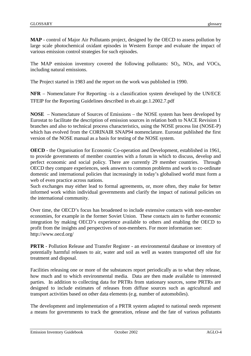**MAP** - control of Major Air Pollutants project, designed by the OECD to assess pollution by large scale photochemical oxidant episodes in Western Europe and evaluate the impact of various emission control strategies for such episodes.

The MAP emission inventory covered the following pollutants:  $SO_2$ , NOx, and VOCs, including natural emissions.

The Project started in 1983 and the report on the work was published in 1990.

**NFR** – Nomenclature For Reporting –is a classification system developed by the UN/ECE TFEIP for the Reporting Guidelines described in eb.air.ge.1.2002.7.pdf

**NOSE** – Nomenclature of Sources of Emissions – the NOSE system has been developed by Eurostat to facilitate the description of emission sources in relation both to NACE Revision 1 branches and also to technical process characteristics, using the NOSE process list (NOSE-P) which has evolved from the CORINAIR SNAP94 nomenclature. Eurostat published the first version of the NOSE manual as a basis for testing of the NOSE system.

**OECD** - the Organisation for Economic Co-operation and Development, established in 1961, to provide governments of member countries with a forum in which to discuss, develop and perfect economic and social policy. There are currently 29 member countries. Through OECD they compare experiences, seek answers to common problems and work to co-ordinate domestic and international policies that increasingly in today's globalised world must form a web of even practice across nations.

Such exchanges may either lead to formal agreements, or, more often, they make for better informed work within individual governments and clarify the impact of national policies on the international community.

Over time, the OECD's focus has broadened to include extensive contacts with non-member economies, for example in the former Soviet Union. These contacts aim to further economic integration by making OECD's experience available to others and enabling the OECD to profit from the insights and perspectives of non-members. For more information see: http://www.oecd.org/

**PRTR** - Pollution Release and Transfer Register - an environmental database or inventory of potentially harmful releases to air, water and soil as well as wastes transported off site for treatment and disposal.

Facilities releasing one or more of the substances report periodically as to what they release, how much and to which environmental media. Data are then made available to interested parties. In addition to collecting data for PRTRs from stationary sources, some PRTRs are designed to include estimates of releases from diffuse sources such as agricultural and transport activities based on other data elements (e.g. number of automobiles).

The development and implementation of a PRTR system adapted to national needs represent a means for governments to track the generation, release and the fate of various pollutants

Emission Inventory Guidebook October 2002 AGLO-4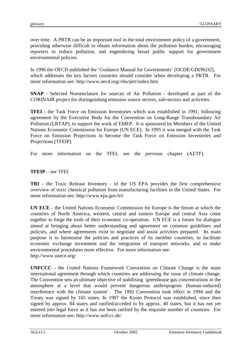over time. A PRTR can be an important tool in the total environment policy of a government, providing otherwise difficult to obtain information about the pollution burden, encouraging reporters to reduce pollution, and engendering broad public support for government environmental policies.

In 1996 the OECD published the 'Guidance Manual for Governments' [OCDE/GD(96)32], which addresses the key factors countries should consider when developing a PRTR. For more information see: http://www.oecd.org//ehs/prtr/index.htm

**SNAP** - Selected Nomenclature for sources of Air Pollution - developed as part of the CORINAIR project for distinguishing emission source sectors, sub-sectors and activities.

**TFEI** - the Task Force on Emission Inventories which was established in 1991, following agreement by the Executive Body for the Convention on Long-Range Transboundary Air Pollution (LRTAP), to support the work of EMEP. It is sponsored by Members of the United Nations Economic Commission for Europe (UN ECE). In 1995 it was merged with the Task Force on Emission Projections to become the Task Force on Emission Inventories and Projections (TFEIP).

For more information on the TFEI, see the previous chapter (AETF).

#### **TFEIP** – see TFEI

**TRI** - the Toxic Release Inventory - of the US EPA provides the first comprehensive overview of toxic chemical pollution from manufacturing facilities in the United States. For more information see: http://www.epa.gov/tri/

**UN ECE** - the United Nations Economic Commission for Europe is the forum at which the countries of North America, western, central and eastern Europe and central Asia come together to forge the tools of their economic co-operation. UN ECE is a forum for dialogue aimed at bringing about better understanding and agreement on common guidelines and policies, and where agreements exist to negotiate and assist activities prepared. Its main purpose is to harmonise the policies and practices of its member countries, to facilitate economic exchange investment and the integration of transport networks, and to make environmental procedures more effective. For more information see: http://www.unece.org/

**UNFCCC** - the United Nations Framework Convention on Climate Change is the main international agreement through which countries are addressing the issue of climate change. The Convention sets an ultimate objective of stabilising 'greenhouse gas concentrations in the atmosphere at a level that would prevent dangerous anthropogenic (human-induced) interference with the climate system'. The 1992 Convention took effect in 1994 and the Treaty was signed by 165 states. In 1997 the Kyoto Protocol was established, since then signed by approx. 84 states and ratified/acceded to by approx. 40 states, but it has not yet entered into legal force as it has not been ratified by the requisite number of countries. For more information see: http://www.unfccc.de/